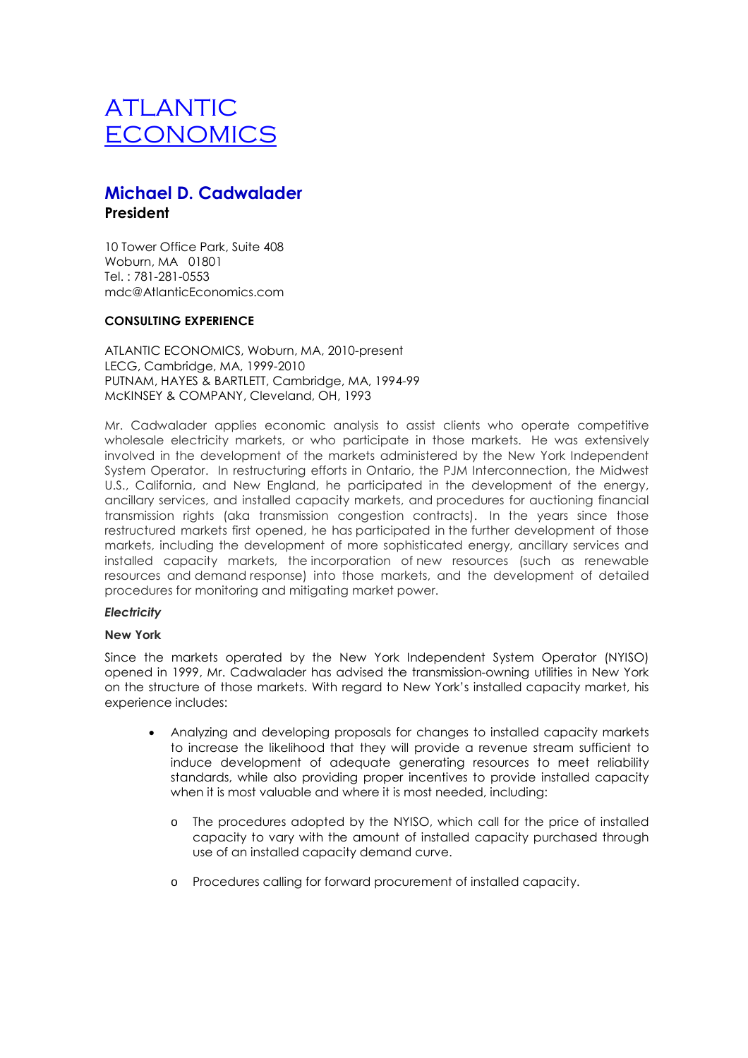# **Michael D. Cadwalader President**

10 Tower Office Park, Suite 408 Woburn, MA 01801 Tel. : 781-281-0553 mdc@AtlanticEconomics.com

### **CONSULTING EXPERIENCE**

ATLANTIC ECONOMICS, Woburn, MA, 2010-present LECG, Cambridge, MA, 1999-2010 PUTNAM, HAYES & BARTLETT, Cambridge, MA, 1994-99 McKINSEY & COMPANY, Cleveland, OH, 1993

Mr. Cadwalader applies economic analysis to assist clients who operate competitive wholesale electricity markets, or who participate in those markets. He was extensively involved in the development of the markets administered by the New York Independent System Operator. In restructuring efforts in Ontario, the PJM Interconnection, the Midwest U.S., California, and New England, he participated in the development of the energy, ancillary services, and installed capacity markets, and procedures for auctioning financial transmission rights (aka transmission congestion contracts). In the years since those restructured markets first opened, he has participated in the further development of those markets, including the development of more sophisticated energy, ancillary services and installed capacity markets, the incorporation of new resources (such as renewable resources and demand response) into those markets, and the development of detailed procedures for monitoring and mitigating market power.

### *Electricity*

#### **New York**

Since the markets operated by the New York Independent System Operator (NYISO) opened in 1999, Mr. Cadwalader has advised the transmission-owning utilities in New York on the structure of those markets. With regard to New York's installed capacity market, his experience includes:

- Analyzing and developing proposals for changes to installed capacity markets to increase the likelihood that they will provide a revenue stream sufficient to induce development of adequate generating resources to meet reliability standards, while also providing proper incentives to provide installed capacity when it is most valuable and where it is most needed, including:
	- o The procedures adopted by the NYISO, which call for the price of installed capacity to vary with the amount of installed capacity purchased through use of an installed capacity demand curve.
	- o Procedures calling for forward procurement of installed capacity.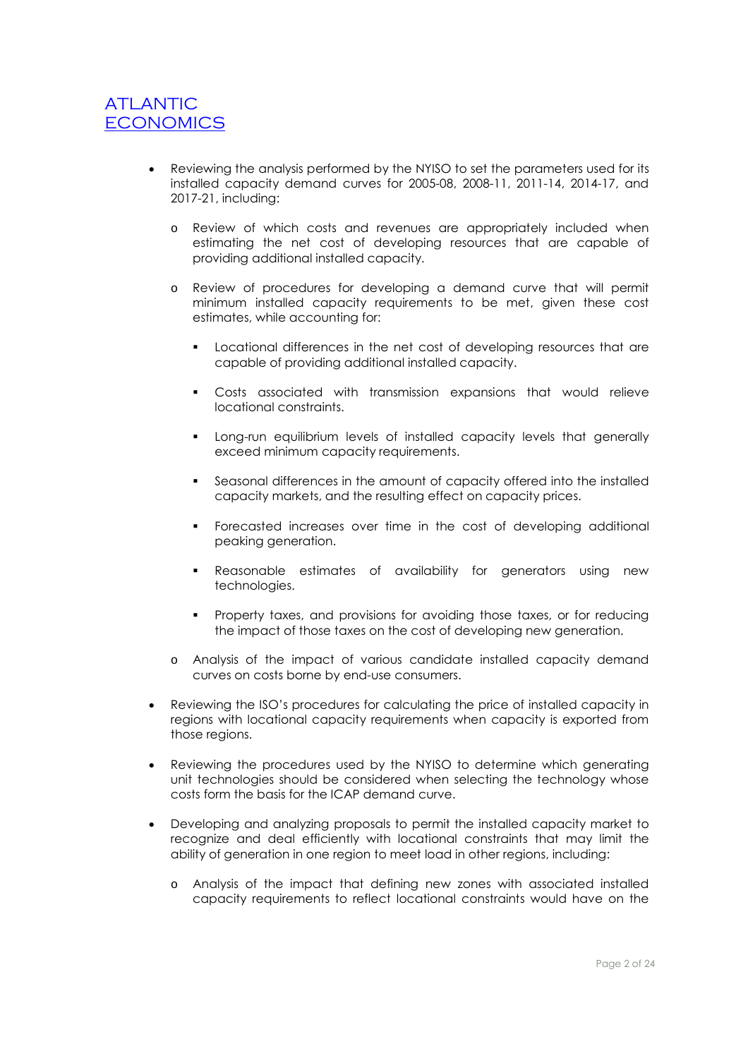- Reviewing the analysis performed by the NYISO to set the parameters used for its installed capacity demand curves for 2005-08, 2008-11, 2011-14, 2014-17, and 2017-21, including:
	- o Review of which costs and revenues are appropriately included when estimating the net cost of developing resources that are capable of providing additional installed capacity.
	- o Review of procedures for developing a demand curve that will permit minimum installed capacity requirements to be met, given these cost estimates, while accounting for:
		- Locational differences in the net cost of developing resources that are capable of providing additional installed capacity.
		- Costs associated with transmission expansions that would relieve locational constraints.
		- Long-run equilibrium levels of installed capacity levels that generally exceed minimum capacity requirements.
		- Seasonal differences in the amount of capacity offered into the installed capacity markets, and the resulting effect on capacity prices.
		- Forecasted increases over time in the cost of developing additional peaking generation.
		- **•** Reasonable estimates of availability for generators using new technologies.
		- Property taxes, and provisions for avoiding those taxes, or for reducing the impact of those taxes on the cost of developing new generation.
	- o Analysis of the impact of various candidate installed capacity demand curves on costs borne by end-use consumers.
- Reviewing the ISO's procedures for calculating the price of installed capacity in regions with locational capacity requirements when capacity is exported from those regions.
- Reviewing the procedures used by the NYISO to determine which generating unit technologies should be considered when selecting the technology whose costs form the basis for the ICAP demand curve.
- Developing and analyzing proposals to permit the installed capacity market to recognize and deal efficiently with locational constraints that may limit the ability of generation in one region to meet load in other regions, including:
	- o Analysis of the impact that defining new zones with associated installed capacity requirements to reflect locational constraints would have on the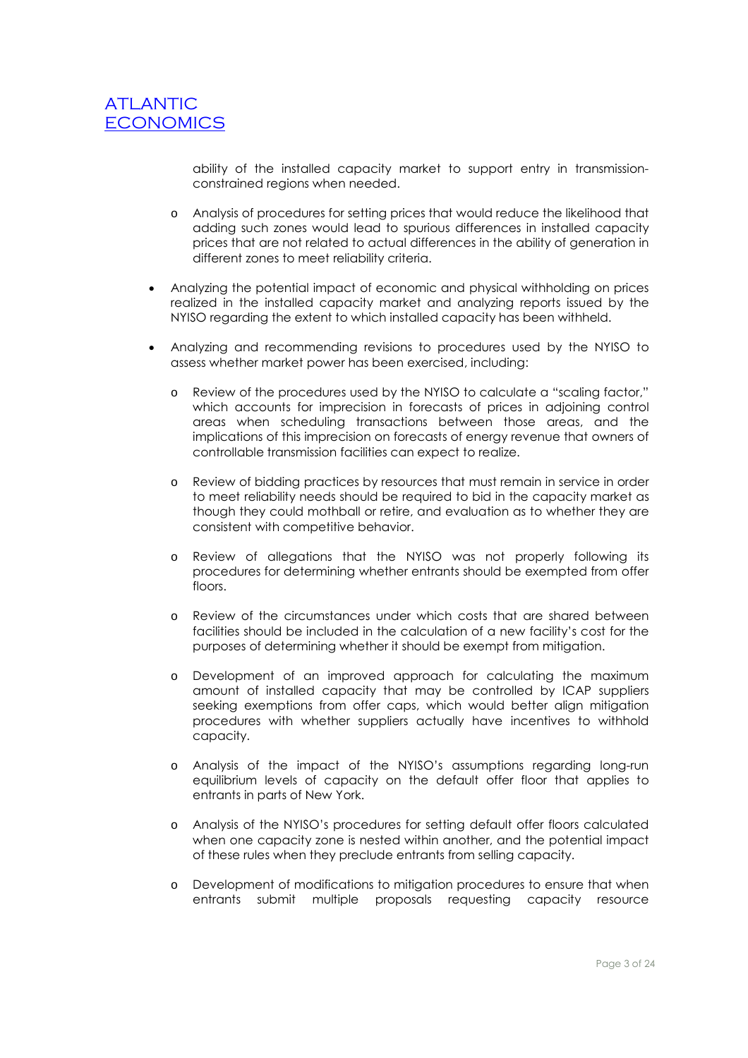ability of the installed capacity market to support entry in transmissionconstrained regions when needed.

- o Analysis of procedures for setting prices that would reduce the likelihood that adding such zones would lead to spurious differences in installed capacity prices that are not related to actual differences in the ability of generation in different zones to meet reliability criteria.
- Analyzing the potential impact of economic and physical withholding on prices realized in the installed capacity market and analyzing reports issued by the NYISO regarding the extent to which installed capacity has been withheld.
- Analyzing and recommending revisions to procedures used by the NYISO to assess whether market power has been exercised, including:
	- o Review of the procedures used by the NYISO to calculate a "scaling factor," which accounts for imprecision in forecasts of prices in adjoining control areas when scheduling transactions between those areas, and the implications of this imprecision on forecasts of energy revenue that owners of controllable transmission facilities can expect to realize.
	- o Review of bidding practices by resources that must remain in service in order to meet reliability needs should be required to bid in the capacity market as though they could mothball or retire, and evaluation as to whether they are consistent with competitive behavior.
	- o Review of allegations that the NYISO was not properly following its procedures for determining whether entrants should be exempted from offer floors.
	- o Review of the circumstances under which costs that are shared between facilities should be included in the calculation of a new facility's cost for the purposes of determining whether it should be exempt from mitigation.
	- o Development of an improved approach for calculating the maximum amount of installed capacity that may be controlled by ICAP suppliers seeking exemptions from offer caps, which would better align mitigation procedures with whether suppliers actually have incentives to withhold capacity.
	- o Analysis of the impact of the NYISO's assumptions regarding long-run equilibrium levels of capacity on the default offer floor that applies to entrants in parts of New York.
	- o Analysis of the NYISO's procedures for setting default offer floors calculated when one capacity zone is nested within another, and the potential impact of these rules when they preclude entrants from selling capacity.
	- o Development of modifications to mitigation procedures to ensure that when entrants submit multiple proposals requesting capacity resource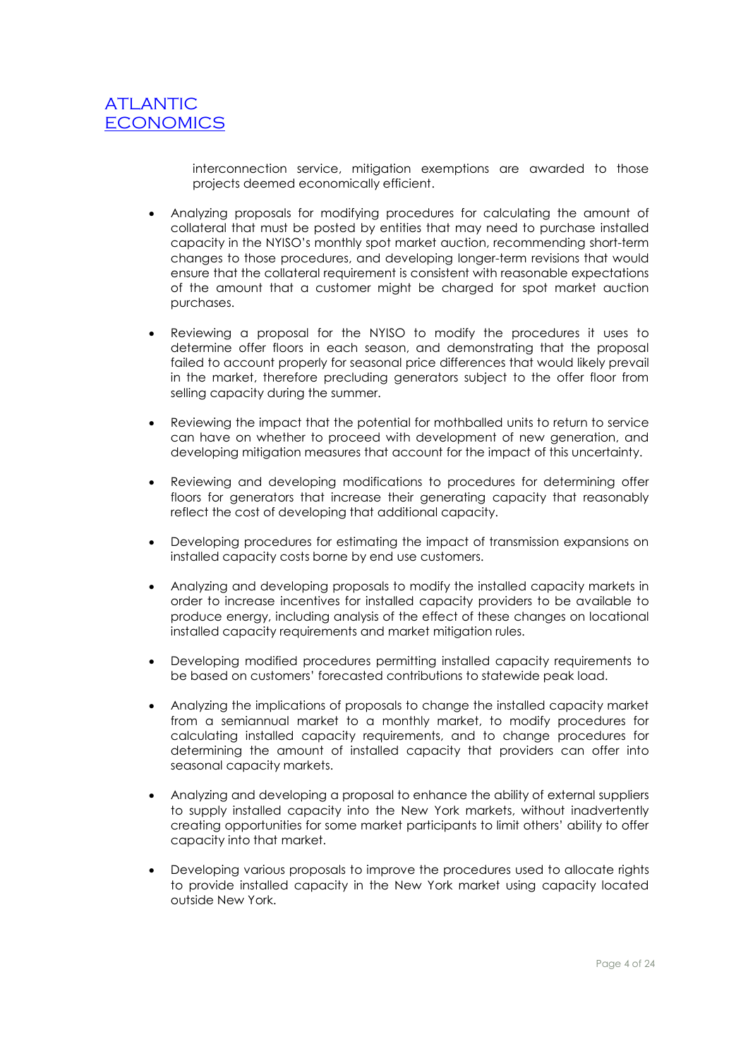

interconnection service, mitigation exemptions are awarded to those projects deemed economically efficient.

- Analyzing proposals for modifying procedures for calculating the amount of collateral that must be posted by entities that may need to purchase installed capacity in the NYISO's monthly spot market auction, recommending short-term changes to those procedures, and developing longer-term revisions that would ensure that the collateral requirement is consistent with reasonable expectations of the amount that a customer might be charged for spot market auction purchases.
- Reviewing a proposal for the NYISO to modify the procedures it uses to determine offer floors in each season, and demonstrating that the proposal failed to account properly for seasonal price differences that would likely prevail in the market, therefore precluding generators subject to the offer floor from selling capacity during the summer.
- Reviewing the impact that the potential for mothballed units to return to service can have on whether to proceed with development of new generation, and developing mitigation measures that account for the impact of this uncertainty.
- Reviewing and developing modifications to procedures for determining offer floors for generators that increase their generating capacity that reasonably reflect the cost of developing that additional capacity.
- Developing procedures for estimating the impact of transmission expansions on installed capacity costs borne by end use customers.
- Analyzing and developing proposals to modify the installed capacity markets in order to increase incentives for installed capacity providers to be available to produce energy, including analysis of the effect of these changes on locational installed capacity requirements and market mitigation rules.
- Developing modified procedures permitting installed capacity requirements to be based on customers' forecasted contributions to statewide peak load.
- Analyzing the implications of proposals to change the installed capacity market from a semiannual market to a monthly market, to modify procedures for calculating installed capacity requirements, and to change procedures for determining the amount of installed capacity that providers can offer into seasonal capacity markets.
- Analyzing and developing a proposal to enhance the ability of external suppliers to supply installed capacity into the New York markets, without inadvertently creating opportunities for some market participants to limit others' ability to offer capacity into that market.
- Developing various proposals to improve the procedures used to allocate rights to provide installed capacity in the New York market using capacity located outside New York.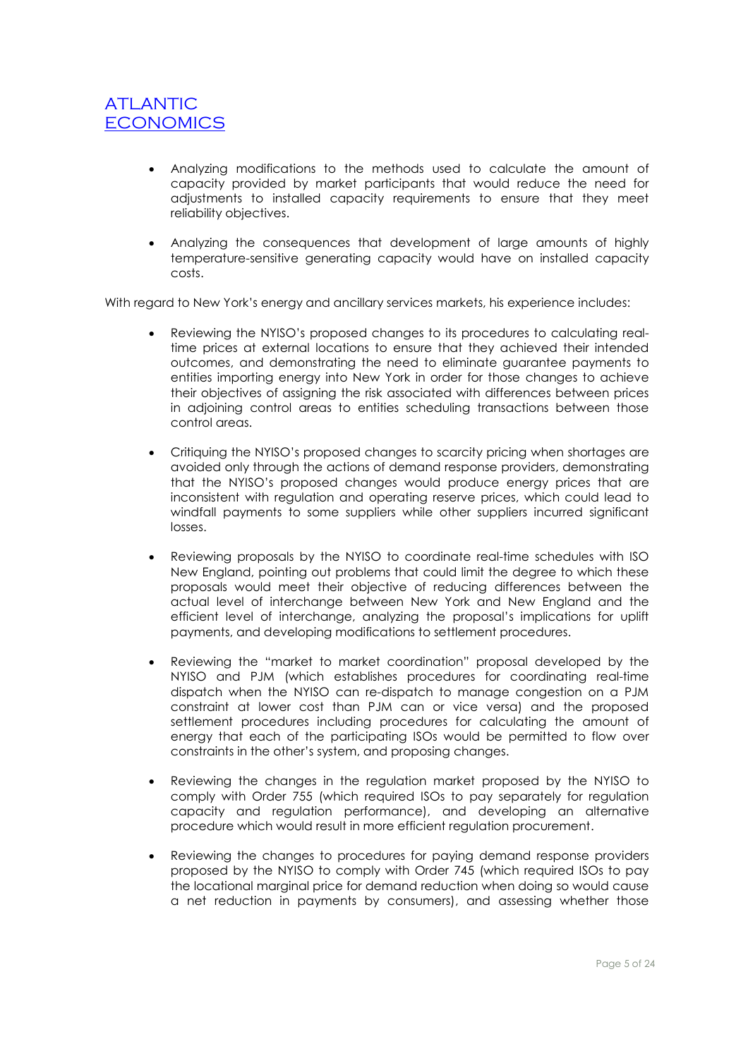- Analyzing modifications to the methods used to calculate the amount of capacity provided by market participants that would reduce the need for adjustments to installed capacity requirements to ensure that they meet reliability objectives.
- Analyzing the consequences that development of large amounts of highly temperature-sensitive generating capacity would have on installed capacity costs.

With regard to New York's energy and ancillary services markets, his experience includes:

- Reviewing the NYISO's proposed changes to its procedures to calculating realtime prices at external locations to ensure that they achieved their intended outcomes, and demonstrating the need to eliminate guarantee payments to entities importing energy into New York in order for those changes to achieve their objectives of assigning the risk associated with differences between prices in adjoining control areas to entities scheduling transactions between those control areas.
- Critiquing the NYISO's proposed changes to scarcity pricing when shortages are avoided only through the actions of demand response providers, demonstrating that the NYISO's proposed changes would produce energy prices that are inconsistent with regulation and operating reserve prices, which could lead to windfall payments to some suppliers while other suppliers incurred significant losses.
- Reviewing proposals by the NYISO to coordinate real-time schedules with ISO New England, pointing out problems that could limit the degree to which these proposals would meet their objective of reducing differences between the actual level of interchange between New York and New England and the efficient level of interchange, analyzing the proposal's implications for uplift payments, and developing modifications to settlement procedures.
- Reviewing the "market to market coordination" proposal developed by the NYISO and PJM (which establishes procedures for coordinating real-time dispatch when the NYISO can re-dispatch to manage congestion on a PJM constraint at lower cost than PJM can or vice versa) and the proposed settlement procedures including procedures for calculating the amount of energy that each of the participating ISOs would be permitted to flow over constraints in the other's system, and proposing changes.
- Reviewing the changes in the regulation market proposed by the NYISO to comply with Order 755 (which required ISOs to pay separately for regulation capacity and regulation performance), and developing an alternative procedure which would result in more efficient regulation procurement.
- Reviewing the changes to procedures for paying demand response providers proposed by the NYISO to comply with Order 745 (which required ISOs to pay the locational marginal price for demand reduction when doing so would cause a net reduction in payments by consumers), and assessing whether those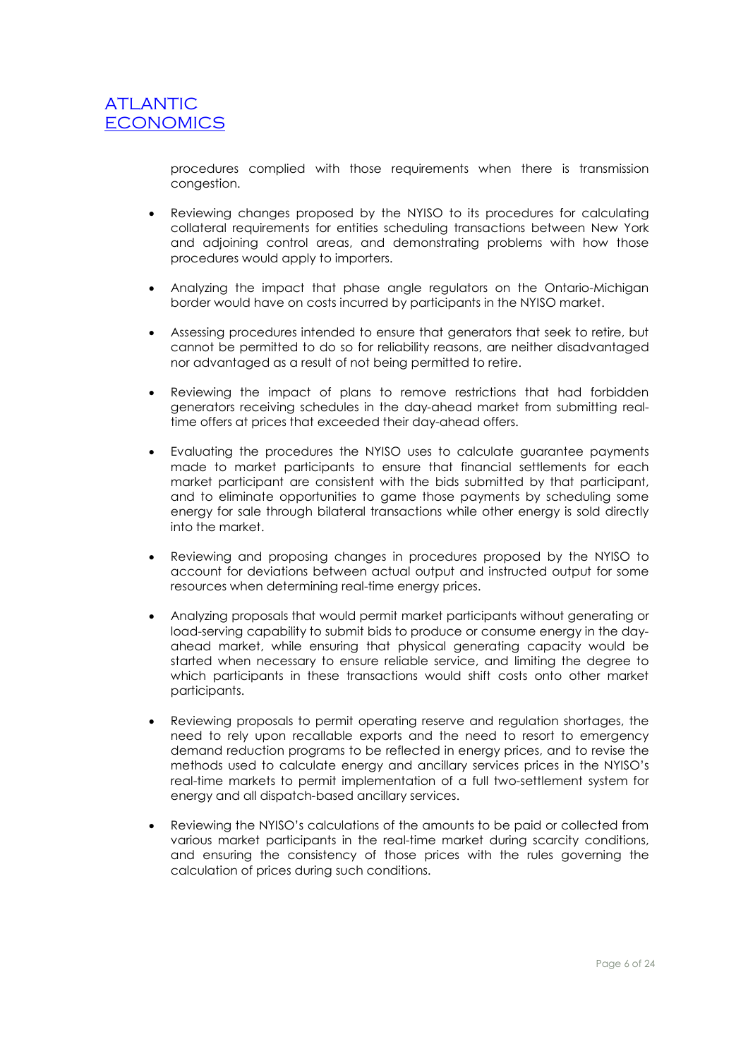procedures complied with those requirements when there is transmission congestion.

- Reviewing changes proposed by the NYISO to its procedures for calculating collateral requirements for entities scheduling transactions between New York and adjoining control areas, and demonstrating problems with how those procedures would apply to importers.
- Analyzing the impact that phase angle regulators on the Ontario-Michigan border would have on costs incurred by participants in the NYISO market.
- Assessing procedures intended to ensure that generators that seek to retire, but cannot be permitted to do so for reliability reasons, are neither disadvantaged nor advantaged as a result of not being permitted to retire.
- Reviewing the impact of plans to remove restrictions that had forbidden generators receiving schedules in the day-ahead market from submitting realtime offers at prices that exceeded their day-ahead offers.
- Evaluating the procedures the NYISO uses to calculate guarantee payments made to market participants to ensure that financial settlements for each market participant are consistent with the bids submitted by that participant, and to eliminate opportunities to game those payments by scheduling some energy for sale through bilateral transactions while other energy is sold directly into the market.
- Reviewing and proposing changes in procedures proposed by the NYISO to account for deviations between actual output and instructed output for some resources when determining real-time energy prices.
- Analyzing proposals that would permit market participants without generating or load-serving capability to submit bids to produce or consume energy in the dayahead market, while ensuring that physical generating capacity would be started when necessary to ensure reliable service, and limiting the degree to which participants in these transactions would shift costs onto other market participants.
- Reviewing proposals to permit operating reserve and regulation shortages, the need to rely upon recallable exports and the need to resort to emergency demand reduction programs to be reflected in energy prices, and to revise the methods used to calculate energy and ancillary services prices in the NYISO's real-time markets to permit implementation of a full two-settlement system for energy and all dispatch-based ancillary services.
- Reviewing the NYISO's calculations of the amounts to be paid or collected from various market participants in the real-time market during scarcity conditions, and ensuring the consistency of those prices with the rules governing the calculation of prices during such conditions.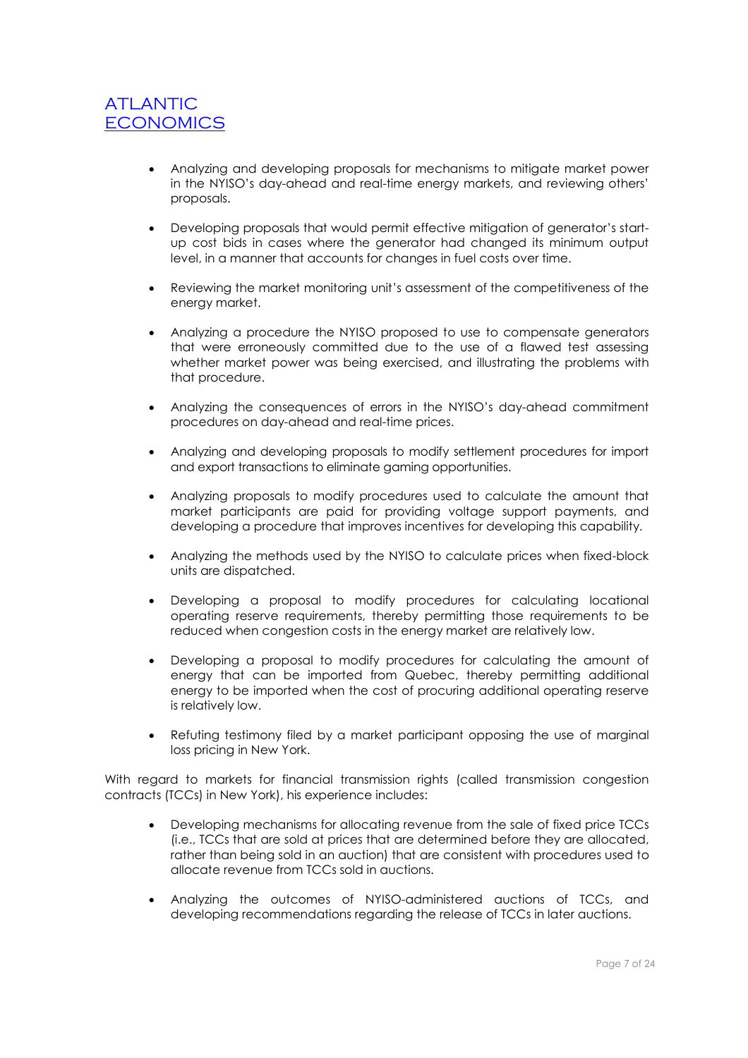- Analyzing and developing proposals for mechanisms to mitigate market power in the NYISO's day-ahead and real-time energy markets, and reviewing others' proposals.
- Developing proposals that would permit effective mitigation of generator's startup cost bids in cases where the generator had changed its minimum output level, in a manner that accounts for changes in fuel costs over time.
- Reviewing the market monitoring unit's assessment of the competitiveness of the energy market.
- Analyzing a procedure the NYISO proposed to use to compensate generators that were erroneously committed due to the use of a flawed test assessing whether market power was being exercised, and illustrating the problems with that procedure.
- Analyzing the consequences of errors in the NYISO's day-ahead commitment procedures on day-ahead and real-time prices.
- Analyzing and developing proposals to modify settlement procedures for import and export transactions to eliminate gaming opportunities.
- Analyzing proposals to modify procedures used to calculate the amount that market participants are paid for providing voltage support payments, and developing a procedure that improves incentives for developing this capability.
- Analyzing the methods used by the NYISO to calculate prices when fixed-block units are dispatched.
- Developing a proposal to modify procedures for calculating locational operating reserve requirements, thereby permitting those requirements to be reduced when congestion costs in the energy market are relatively low.
- Developing a proposal to modify procedures for calculating the amount of energy that can be imported from Quebec, thereby permitting additional energy to be imported when the cost of procuring additional operating reserve is relatively low.
- Refuting testimony filed by a market participant opposing the use of marginal loss pricing in New York.

With regard to markets for financial transmission rights (called transmission congestion contracts (TCCs) in New York), his experience includes:

- Developing mechanisms for allocating revenue from the sale of fixed price TCCs (i.e., TCCs that are sold at prices that are determined before they are allocated, rather than being sold in an auction) that are consistent with procedures used to allocate revenue from TCCs sold in auctions.
- Analyzing the outcomes of NYISO-administered auctions of TCCs, and developing recommendations regarding the release of TCCs in later auctions.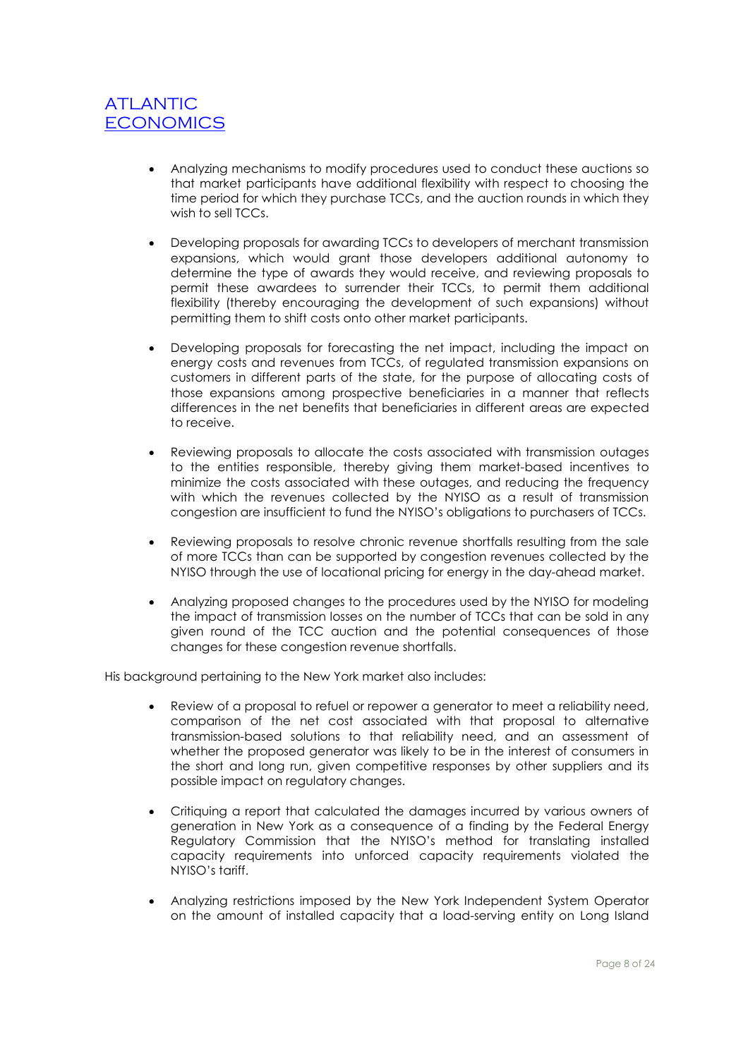- Analyzing mechanisms to modify procedures used to conduct these auctions so that market participants have additional flexibility with respect to choosing the time period for which they purchase TCCs, and the auction rounds in which they wish to sell TCCs.
- Developing proposals for awarding TCCs to developers of merchant transmission expansions, which would grant those developers additional autonomy to determine the type of awards they would receive, and reviewing proposals to permit these awardees to surrender their TCCs, to permit them additional flexibility (thereby encouraging the development of such expansions) without permitting them to shift costs onto other market participants.
- Developing proposals for forecasting the net impact, including the impact on energy costs and revenues from TCCs, of regulated transmission expansions on customers in different parts of the state, for the purpose of allocating costs of those expansions among prospective beneficiaries in a manner that reflects differences in the net benefits that beneficiaries in different areas are expected to receive.
- Reviewing proposals to allocate the costs associated with transmission outages to the entities responsible, thereby giving them market-based incentives to minimize the costs associated with these outages, and reducing the frequency with which the revenues collected by the NYISO as a result of transmission congestion are insufficient to fund the NYISO's obligations to purchasers of TCCs.
- Reviewing proposals to resolve chronic revenue shortfalls resulting from the sale of more TCCs than can be supported by congestion revenues collected by the NYISO through the use of locational pricing for energy in the day-ahead market.
- Analyzing proposed changes to the procedures used by the NYISO for modeling the impact of transmission losses on the number of TCCs that can be sold in any given round of the TCC auction and the potential consequences of those changes for these congestion revenue shortfalls.

His background pertaining to the New York market also includes:

- Review of a proposal to refuel or repower a generator to meet a reliability need, comparison of the net cost associated with that proposal to alternative transmission-based solutions to that reliability need, and an assessment of whether the proposed generator was likely to be in the interest of consumers in the short and long run, given competitive responses by other suppliers and its possible impact on regulatory changes.
- Critiquing a report that calculated the damages incurred by various owners of generation in New York as a consequence of a finding by the Federal Energy Regulatory Commission that the NYISO's method for translating installed capacity requirements into unforced capacity requirements violated the NYISO's tariff.
- Analyzing restrictions imposed by the New York Independent System Operator on the amount of installed capacity that a load-serving entity on Long Island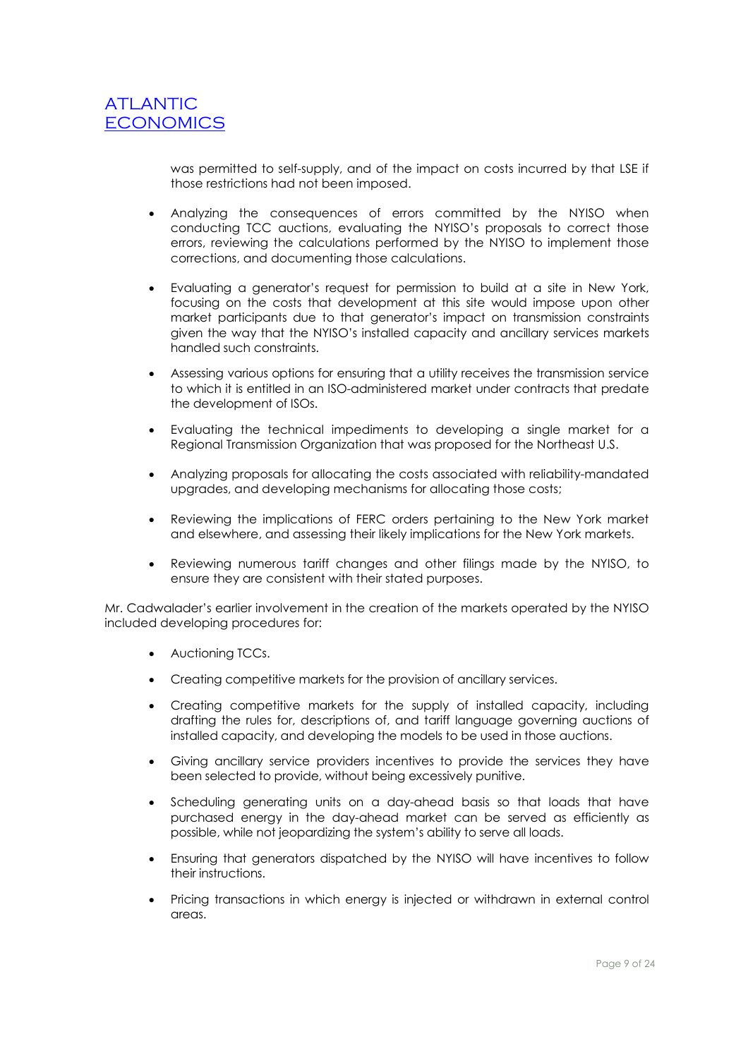was permitted to self-supply, and of the impact on costs incurred by that LSE if those restrictions had not been imposed.

- Analyzing the consequences of errors committed by the NYISO when conducting TCC auctions, evaluating the NYISO's proposals to correct those errors, reviewing the calculations performed by the NYISO to implement those corrections, and documenting those calculations.
- Evaluating a generator's request for permission to build at a site in New York, focusing on the costs that development at this site would impose upon other market participants due to that generator's impact on transmission constraints given the way that the NYISO's installed capacity and ancillary services markets handled such constraints.
- Assessing various options for ensuring that a utility receives the transmission service to which it is entitled in an ISO-administered market under contracts that predate the development of ISOs.
- Evaluating the technical impediments to developing a single market for a Regional Transmission Organization that was proposed for the Northeast U.S.
- Analyzing proposals for allocating the costs associated with reliability-mandated upgrades, and developing mechanisms for allocating those costs;
- Reviewing the implications of FERC orders pertaining to the New York market and elsewhere, and assessing their likely implications for the New York markets.
- Reviewing numerous tariff changes and other filings made by the NYISO, to ensure they are consistent with their stated purposes.

Mr. Cadwalader's earlier involvement in the creation of the markets operated by the NYISO included developing procedures for:

- Auctioning TCCs.
- Creating competitive markets for the provision of ancillary services.
- Creating competitive markets for the supply of installed capacity, including drafting the rules for, descriptions of, and tariff language governing auctions of installed capacity, and developing the models to be used in those auctions.
- Giving ancillary service providers incentives to provide the services they have been selected to provide, without being excessively punitive.
- Scheduling generating units on a day-ahead basis so that loads that have purchased energy in the day-ahead market can be served as efficiently as possible, while not jeopardizing the system's ability to serve all loads.
- Ensuring that generators dispatched by the NYISO will have incentives to follow their instructions.
- Pricing transactions in which energy is injected or withdrawn in external control areas.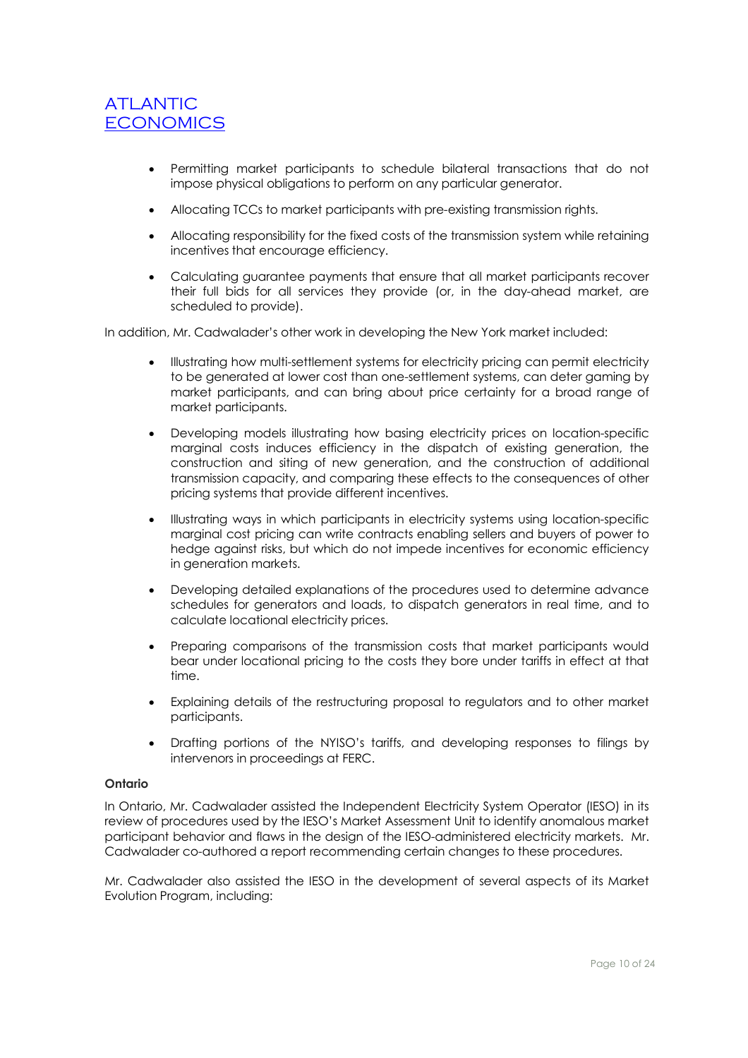- Permitting market participants to schedule bilateral transactions that do not impose physical obligations to perform on any particular generator.
- Allocating TCCs to market participants with pre-existing transmission rights.
- Allocating responsibility for the fixed costs of the transmission system while retaining incentives that encourage efficiency.
- Calculating guarantee payments that ensure that all market participants recover their full bids for all services they provide (or, in the day-ahead market, are scheduled to provide).

In addition, Mr. Cadwalader's other work in developing the New York market included:

- Illustrating how multi-settlement systems for electricity pricing can permit electricity to be generated at lower cost than one-settlement systems, can deter gaming by market participants, and can bring about price certainty for a broad range of market participants.
- Developing models illustrating how basing electricity prices on location-specific marginal costs induces efficiency in the dispatch of existing generation, the construction and siting of new generation, and the construction of additional transmission capacity, and comparing these effects to the consequences of other pricing systems that provide different incentives.
- Illustrating ways in which participants in electricity systems using location-specific marginal cost pricing can write contracts enabling sellers and buyers of power to hedge against risks, but which do not impede incentives for economic efficiency in generation markets.
- Developing detailed explanations of the procedures used to determine advance schedules for generators and loads, to dispatch generators in real time, and to calculate locational electricity prices.
- Preparing comparisons of the transmission costs that market participants would bear under locational pricing to the costs they bore under tariffs in effect at that time.
- Explaining details of the restructuring proposal to regulators and to other market participants.
- Drafting portions of the NYISO's tariffs, and developing responses to filings by intervenors in proceedings at FERC.

### **Ontario**

In Ontario, Mr. Cadwalader assisted the Independent Electricity System Operator (IESO) in its review of procedures used by the IESO's Market Assessment Unit to identify anomalous market participant behavior and flaws in the design of the IESO-administered electricity markets. Mr. Cadwalader co-authored a report recommending certain changes to these procedures.

Mr. Cadwalader also assisted the IESO in the development of several aspects of its Market Evolution Program, including: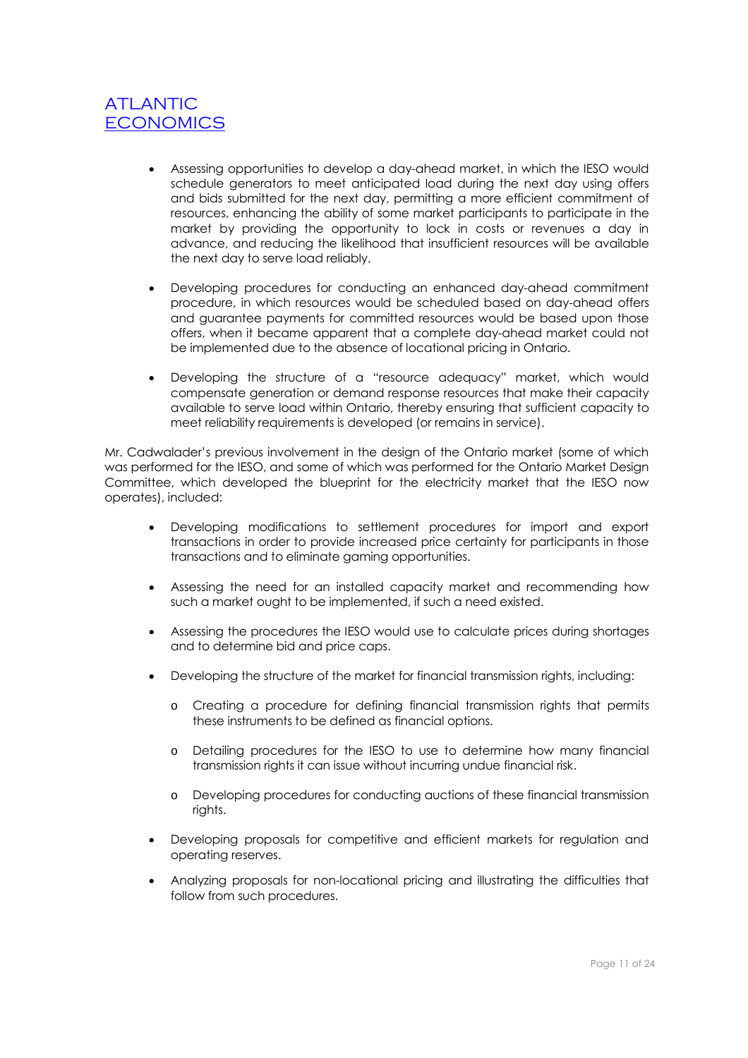- Assessing opportunities to develop a day-ahead market, in which the IESO would schedule generators to meet anticipated load during the next day using offers and bids submitted for the next day, permitting a more efficient commitment of resources, enhancing the ability of some market participants to participate in the market by providing the opportunity to lock in costs or revenues a day in advance, and reducing the likelihood that insufficient resources will be available the next day to serve load reliably.
- Developing procedures for conducting an enhanced day-ahead commitment procedure, in which resources would be scheduled based on day-ahead offers and guarantee payments for committed resources would be based upon those offers, when it became apparent that a complete day-ahead market could not be implemented due to the absence of locational pricing in Ontario.
- Developing the structure of a "resource adequacy" market, which would compensate generation or demand response resources that make their capacity available to serve load within Ontario, thereby ensuring that sufficient capacity to meet reliability requirements is developed (or remains in service).

Mr. Cadwalader's previous involvement in the design of the Ontario market (some of which was performed for the IESO, and some of which was performed for the Ontario Market Design Committee, which developed the blueprint for the electricity market that the IESO now operates), included:

- Developing modifications to settlement procedures for import and export transactions in order to provide increased price certainty for participants in those transactions and to eliminate gaming opportunities.
- Assessing the need for an installed capacity market and recommending how such a market ought to be implemented, if such a need existed.
- Assessing the procedures the IESO would use to calculate prices during shortages and to determine bid and price caps.
- Developing the structure of the market for financial transmission rights, including:
	- o Creating a procedure for defining financial transmission rights that permits these instruments to be defined as financial options.
	- o Detailing procedures for the IESO to use to determine how many financial transmission rights it can issue without incurring undue financial risk.
	- o Developing procedures for conducting auctions of these financial transmission rights.
- Developing proposals for competitive and efficient markets for regulation and operating reserves.
- Analyzing proposals for non-locational pricing and illustrating the difficulties that follow from such procedures.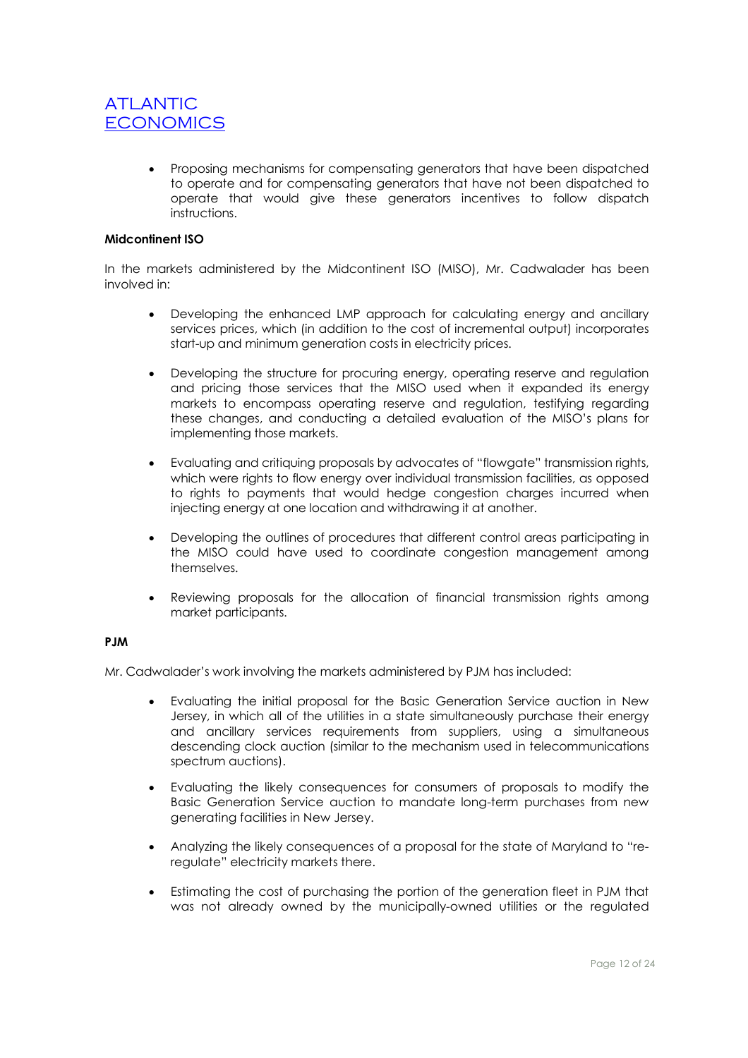Proposing mechanisms for compensating generators that have been dispatched to operate and for compensating generators that have not been dispatched to operate that would give these generators incentives to follow dispatch instructions.

### **Midcontinent ISO**

In the markets administered by the Midcontinent ISO (MISO), Mr. Cadwalader has been involved in:

- Developing the enhanced LMP approach for calculating energy and ancillary services prices, which (in addition to the cost of incremental output) incorporates start-up and minimum generation costs in electricity prices.
- Developing the structure for procuring energy, operating reserve and regulation and pricing those services that the MISO used when it expanded its energy markets to encompass operating reserve and regulation, testifying regarding these changes, and conducting a detailed evaluation of the MISO's plans for implementing those markets.
- Evaluating and critiquing proposals by advocates of "flowgate" transmission rights, which were rights to flow energy over individual transmission facilities, as opposed to rights to payments that would hedge congestion charges incurred when injecting energy at one location and withdrawing it at another.
- Developing the outlines of procedures that different control areas participating in the MISO could have used to coordinate congestion management among themselves.
- Reviewing proposals for the allocation of financial transmission rights among market participants.

#### **PJM**

Mr. Cadwalader's work involving the markets administered by PJM has included:

- Evaluating the initial proposal for the Basic Generation Service auction in New Jersey, in which all of the utilities in a state simultaneously purchase their energy and ancillary services requirements from suppliers, using a simultaneous descending clock auction (similar to the mechanism used in telecommunications spectrum auctions).
- Evaluating the likely consequences for consumers of proposals to modify the Basic Generation Service auction to mandate long-term purchases from new generating facilities in New Jersey.
- Analyzing the likely consequences of a proposal for the state of Maryland to "reregulate" electricity markets there.
- Estimating the cost of purchasing the portion of the generation fleet in PJM that was not already owned by the municipally-owned utilities or the regulated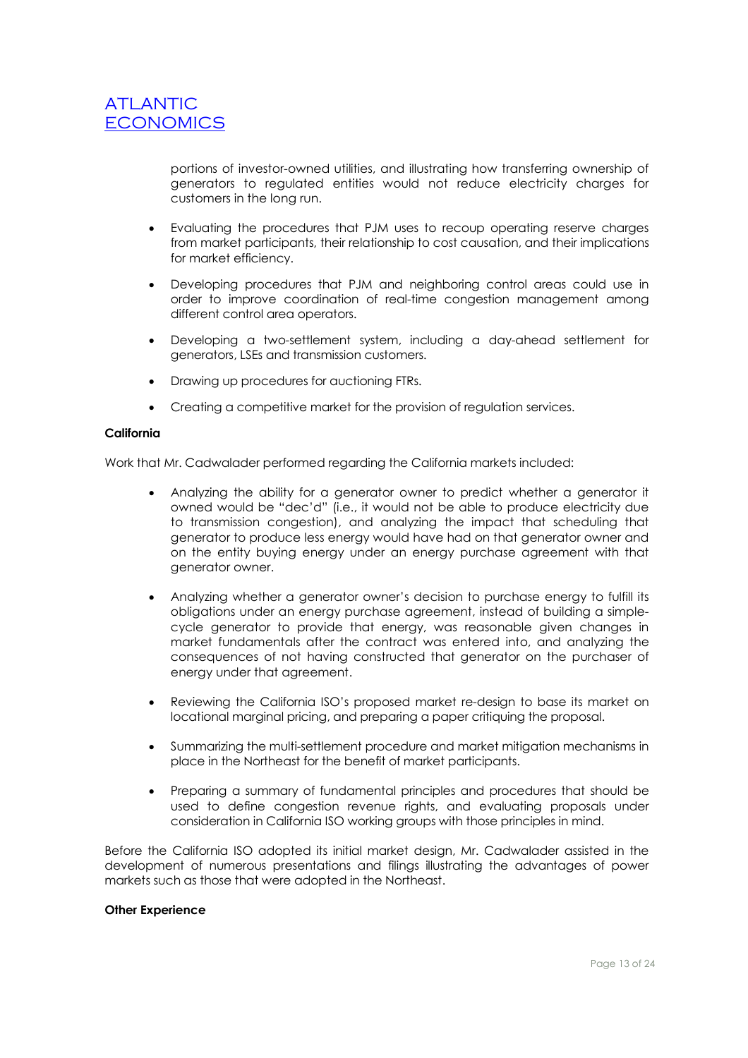portions of investor-owned utilities, and illustrating how transferring ownership of generators to regulated entities would not reduce electricity charges for customers in the long run.

- Evaluating the procedures that PJM uses to recoup operating reserve charges from market participants, their relationship to cost causation, and their implications for market efficiency.
- Developing procedures that PJM and neighboring control areas could use in order to improve coordination of real-time congestion management among different control area operators.
- Developing a two-settlement system, including a day-ahead settlement for generators, LSEs and transmission customers.
- Drawing up procedures for auctioning FTRs.
- Creating a competitive market for the provision of regulation services.

#### **California**

Work that Mr. Cadwalader performed regarding the California markets included:

- Analyzing the ability for a generator owner to predict whether a generator it owned would be "dec'd" (i.e., it would not be able to produce electricity due to transmission congestion), and analyzing the impact that scheduling that generator to produce less energy would have had on that generator owner and on the entity buying energy under an energy purchase agreement with that generator owner.
- Analyzing whether a generator owner's decision to purchase energy to fulfill its obligations under an energy purchase agreement, instead of building a simplecycle generator to provide that energy, was reasonable given changes in market fundamentals after the contract was entered into, and analyzing the consequences of not having constructed that generator on the purchaser of energy under that agreement.
- Reviewing the California ISO's proposed market re-design to base its market on locational marginal pricing, and preparing a paper critiquing the proposal.
- Summarizing the multi-settlement procedure and market mitigation mechanisms in place in the Northeast for the benefit of market participants.
- Preparing a summary of fundamental principles and procedures that should be used to define congestion revenue rights, and evaluating proposals under consideration in California ISO working groups with those principles in mind.

Before the California ISO adopted its initial market design, Mr. Cadwalader assisted in the development of numerous presentations and filings illustrating the advantages of power markets such as those that were adopted in the Northeast.

#### **Other Experience**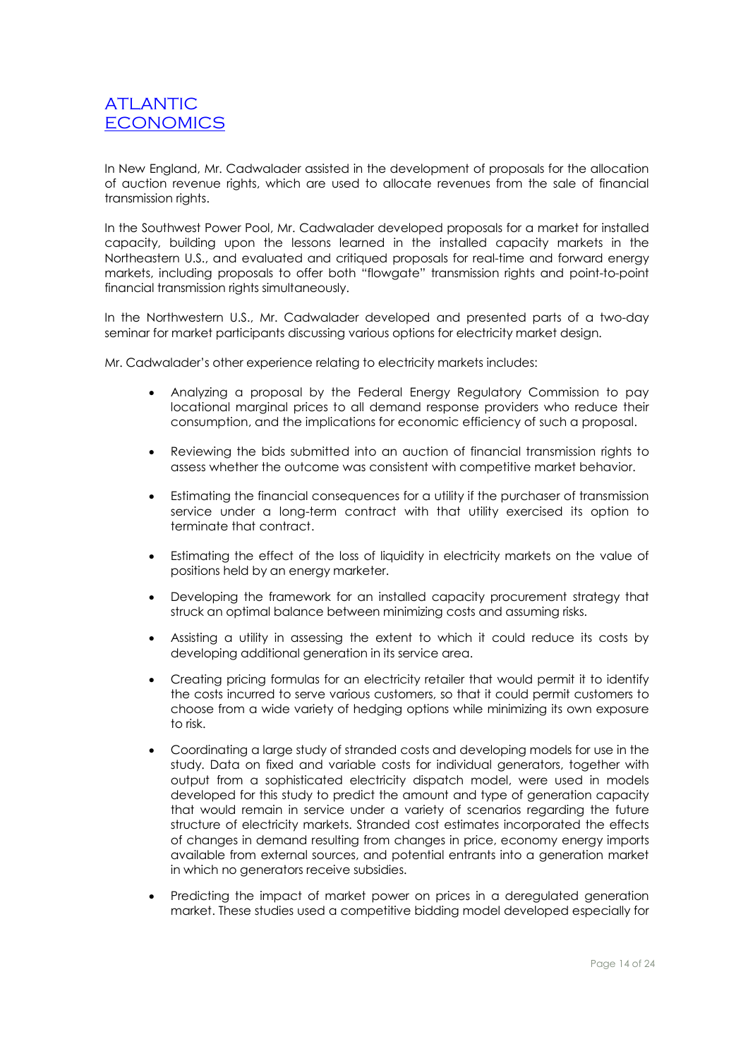In New England, Mr. Cadwalader assisted in the development of proposals for the allocation of auction revenue rights, which are used to allocate revenues from the sale of financial transmission rights.

In the Southwest Power Pool, Mr. Cadwalader developed proposals for a market for installed capacity, building upon the lessons learned in the installed capacity markets in the Northeastern U.S., and evaluated and critiqued proposals for real-time and forward energy markets, including proposals to offer both "flowgate" transmission rights and point-to-point financial transmission rights simultaneously.

In the Northwestern U.S., Mr. Cadwalader developed and presented parts of a two-day seminar for market participants discussing various options for electricity market design.

Mr. Cadwalader's other experience relating to electricity markets includes:

- Analyzing a proposal by the Federal Energy Regulatory Commission to pay locational marginal prices to all demand response providers who reduce their consumption, and the implications for economic efficiency of such a proposal.
- Reviewing the bids submitted into an auction of financial transmission rights to assess whether the outcome was consistent with competitive market behavior.
- Estimating the financial consequences for a utility if the purchaser of transmission service under a long-term contract with that utility exercised its option to terminate that contract.
- Estimating the effect of the loss of liquidity in electricity markets on the value of positions held by an energy marketer.
- Developing the framework for an installed capacity procurement strategy that struck an optimal balance between minimizing costs and assuming risks.
- Assisting a utility in assessing the extent to which it could reduce its costs by developing additional generation in its service area.
- Creating pricing formulas for an electricity retailer that would permit it to identify the costs incurred to serve various customers, so that it could permit customers to choose from a wide variety of hedging options while minimizing its own exposure to risk.
- Coordinating a large study of stranded costs and developing models for use in the study. Data on fixed and variable costs for individual generators, together with output from a sophisticated electricity dispatch model, were used in models developed for this study to predict the amount and type of generation capacity that would remain in service under a variety of scenarios regarding the future structure of electricity markets. Stranded cost estimates incorporated the effects of changes in demand resulting from changes in price, economy energy imports available from external sources, and potential entrants into a generation market in which no generators receive subsidies.
- Predicting the impact of market power on prices in a deregulated generation market. These studies used a competitive bidding model developed especially for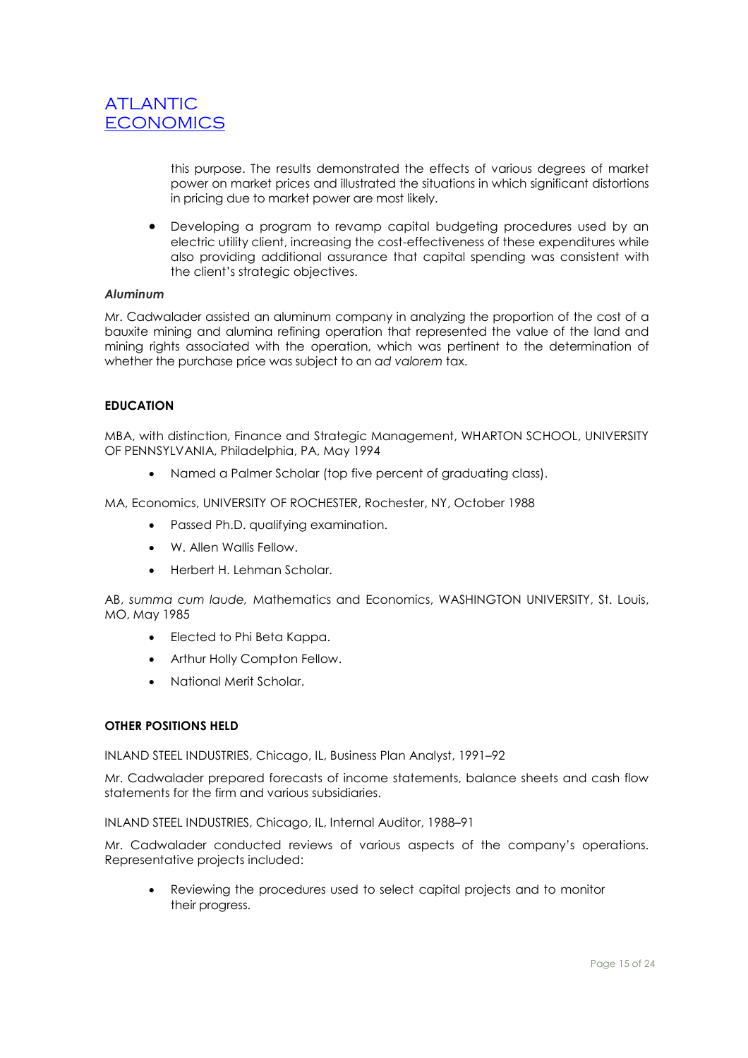

this purpose. The results demonstrated the effects of various degrees of market power on market prices and illustrated the situations in which significant distortions in pricing due to market power are most likely.

 Developing a program to revamp capital budgeting procedures used by an electric utility client, increasing the cost-effectiveness of these expenditures while also providing additional assurance that capital spending was consistent with the client's strategic objectives.

#### *Aluminum*

Mr. Cadwalader assisted an aluminum company in analyzing the proportion of the cost of a bauxite mining and alumina refining operation that represented the value of the land and mining rights associated with the operation, which was pertinent to the determination of whether the purchase price was subject to an *ad valorem* tax.

#### **EDUCATION**

MBA, with distinction, Finance and Strategic Management, WHARTON SCHOOL, UNIVERSITY OF PENNSYLVANIA, Philadelphia, PA, May 1994

Named a Palmer Scholar (top five percent of graduating class).

MA, Economics, UNIVERSITY OF ROCHESTER, Rochester, NY, October 1988

- Passed Ph.D. qualifying examination.
- W. Allen Wallis Fellow.
- Herbert H. Lehman Scholar.

AB, *summa cum laude,* Mathematics and Economics, WASHINGTON UNIVERSITY, St. Louis, MO, May 1985

- Elected to Phi Beta Kappa.
- Arthur Holly Compton Fellow.
- National Merit Scholar.

#### **OTHER POSITIONS HELD**

INLAND STEEL INDUSTRIES, Chicago, IL, Business Plan Analyst, 1991–92

Mr. Cadwalader prepared forecasts of income statements, balance sheets and cash flow statements for the firm and various subsidiaries.

INLAND STEEL INDUSTRIES, Chicago, IL, Internal Auditor, 1988–91

Mr. Cadwalader conducted reviews of various aspects of the company's operations. Representative projects included:

 Reviewing the procedures used to select capital projects and to monitor their progress.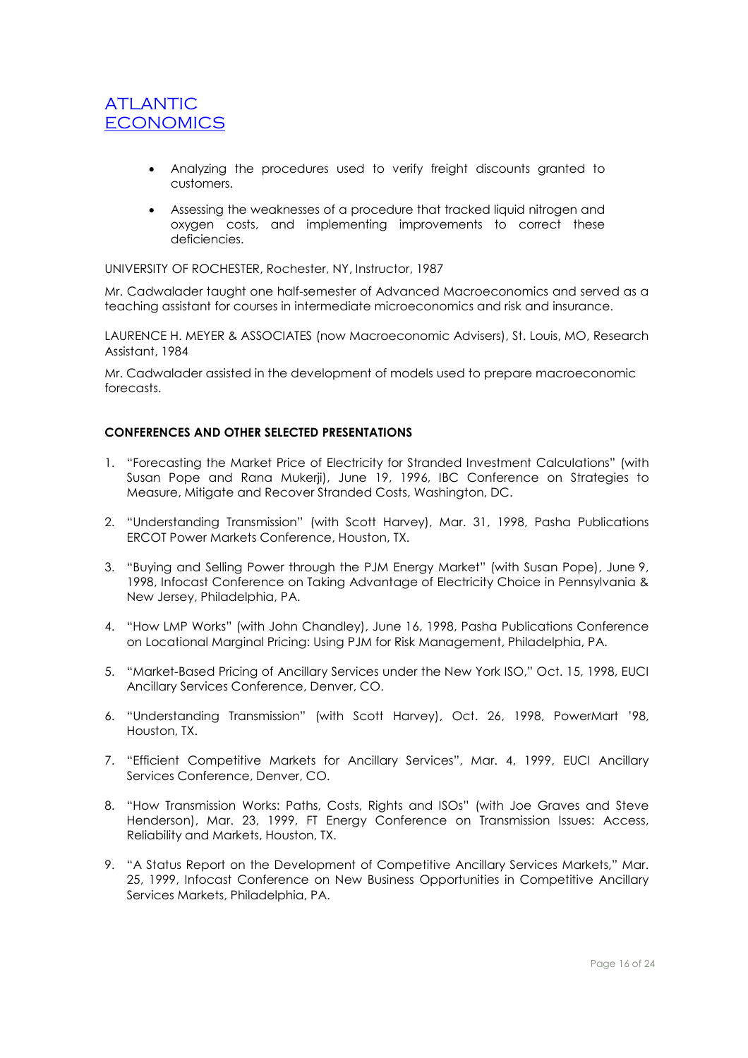- Analyzing the procedures used to verify freight discounts granted to customers.
- Assessing the weaknesses of a procedure that tracked liquid nitrogen and oxygen costs, and implementing improvements to correct these deficiencies.

UNIVERSITY OF ROCHESTER, Rochester, NY, Instructor, 1987

Mr. Cadwalader taught one half-semester of Advanced Macroeconomics and served as a teaching assistant for courses in intermediate microeconomics and risk and insurance.

LAURENCE H. MEYER & ASSOCIATES (now Macroeconomic Advisers), St. Louis, MO, Research Assistant, 1984

Mr. Cadwalader assisted in the development of models used to prepare macroeconomic forecasts.

### **CONFERENCES AND OTHER SELECTED PRESENTATIONS**

- 1. "Forecasting the Market Price of Electricity for Stranded Investment Calculations" (with Susan Pope and Rana Mukerji), June 19, 1996, IBC Conference on Strategies to Measure, Mitigate and Recover Stranded Costs, Washington, DC.
- 2. "Understanding Transmission" (with Scott Harvey), Mar. 31, 1998, Pasha Publications ERCOT Power Markets Conference, Houston, TX.
- 3. "Buying and Selling Power through the PJM Energy Market" (with Susan Pope), June 9, 1998, Infocast Conference on Taking Advantage of Electricity Choice in Pennsylvania & New Jersey, Philadelphia, PA.
- 4. "How LMP Works" (with John Chandley), June 16, 1998, Pasha Publications Conference on Locational Marginal Pricing: Using PJM for Risk Management, Philadelphia, PA.
- 5. "Market-Based Pricing of Ancillary Services under the New York ISO," Oct. 15, 1998, EUCI Ancillary Services Conference, Denver, CO.
- 6. "Understanding Transmission" (with Scott Harvey), Oct. 26, 1998, PowerMart '98, Houston, TX.
- 7. "Efficient Competitive Markets for Ancillary Services", Mar. 4, 1999, EUCI Ancillary Services Conference, Denver, CO.
- 8. "How Transmission Works: Paths, Costs, Rights and ISOs" (with Joe Graves and Steve Henderson), Mar. 23, 1999, FT Energy Conference on Transmission Issues: Access, Reliability and Markets, Houston, TX.
- 9. "A Status Report on the Development of Competitive Ancillary Services Markets," Mar. 25, 1999, Infocast Conference on New Business Opportunities in Competitive Ancillary Services Markets, Philadelphia, PA.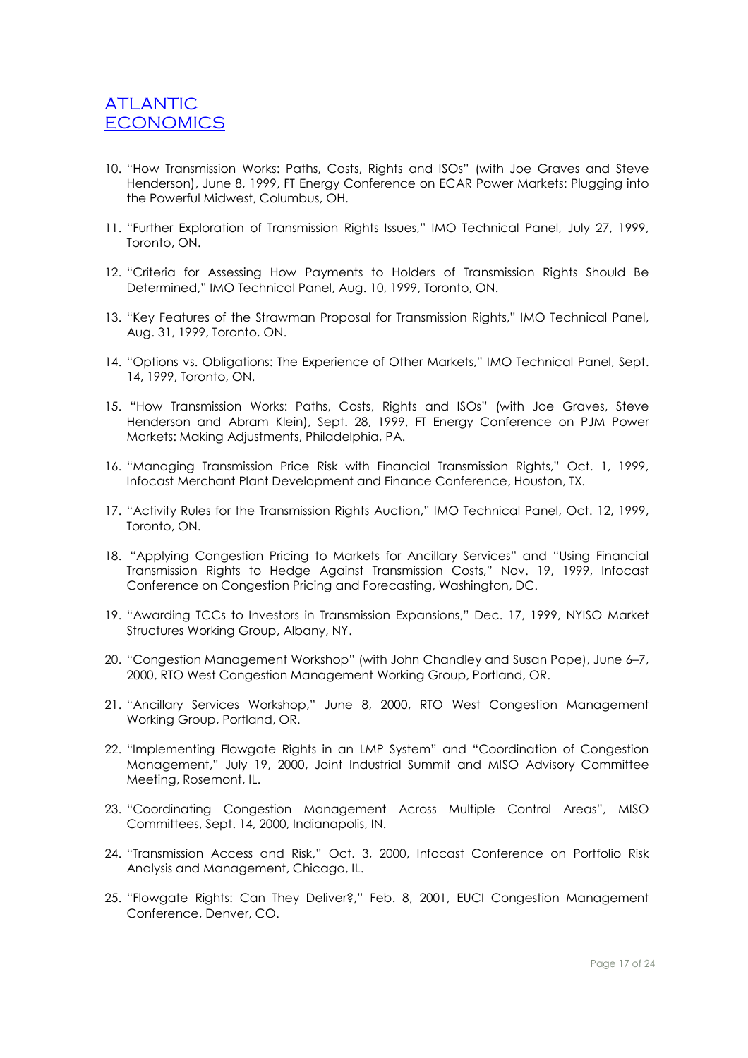- 10. "How Transmission Works: Paths, Costs, Rights and ISOs" (with Joe Graves and Steve Henderson), June 8, 1999, FT Energy Conference on ECAR Power Markets: Plugging into the Powerful Midwest, Columbus, OH.
- 11. "Further Exploration of Transmission Rights Issues," IMO Technical Panel, July 27, 1999, Toronto, ON.
- 12. "Criteria for Assessing How Payments to Holders of Transmission Rights Should Be Determined," IMO Technical Panel, Aug. 10, 1999, Toronto, ON.
- 13. "Key Features of the Strawman Proposal for Transmission Rights," IMO Technical Panel, Aug. 31, 1999, Toronto, ON.
- 14. "Options vs. Obligations: The Experience of Other Markets," IMO Technical Panel, Sept. 14, 1999, Toronto, ON.
- 15. "How Transmission Works: Paths, Costs, Rights and ISOs" (with Joe Graves, Steve Henderson and Abram Klein), Sept. 28, 1999, FT Energy Conference on PJM Power Markets: Making Adjustments, Philadelphia, PA.
- 16. "Managing Transmission Price Risk with Financial Transmission Rights," Oct. 1, 1999, Infocast Merchant Plant Development and Finance Conference, Houston, TX.
- 17. "Activity Rules for the Transmission Rights Auction," IMO Technical Panel, Oct. 12, 1999, Toronto, ON.
- 18. "Applying Congestion Pricing to Markets for Ancillary Services" and "Using Financial Transmission Rights to Hedge Against Transmission Costs," Nov. 19, 1999, Infocast Conference on Congestion Pricing and Forecasting, Washington, DC.
- 19. "Awarding TCCs to Investors in Transmission Expansions," Dec. 17, 1999, NYISO Market Structures Working Group, Albany, NY.
- 20. "Congestion Management Workshop" (with John Chandley and Susan Pope), June 6–7, 2000, RTO West Congestion Management Working Group, Portland, OR.
- 21. "Ancillary Services Workshop," June 8, 2000, RTO West Congestion Management Working Group, Portland, OR.
- 22. "Implementing Flowgate Rights in an LMP System" and "Coordination of Congestion Management," July 19, 2000, Joint Industrial Summit and MISO Advisory Committee Meeting, Rosemont, IL.
- 23. "Coordinating Congestion Management Across Multiple Control Areas", MISO Committees, Sept. 14, 2000, Indianapolis, IN.
- 24. "Transmission Access and Risk," Oct. 3, 2000, Infocast Conference on Portfolio Risk Analysis and Management, Chicago, IL.
- 25. "Flowgate Rights: Can They Deliver?," Feb. 8, 2001, EUCI Congestion Management Conference, Denver, CO.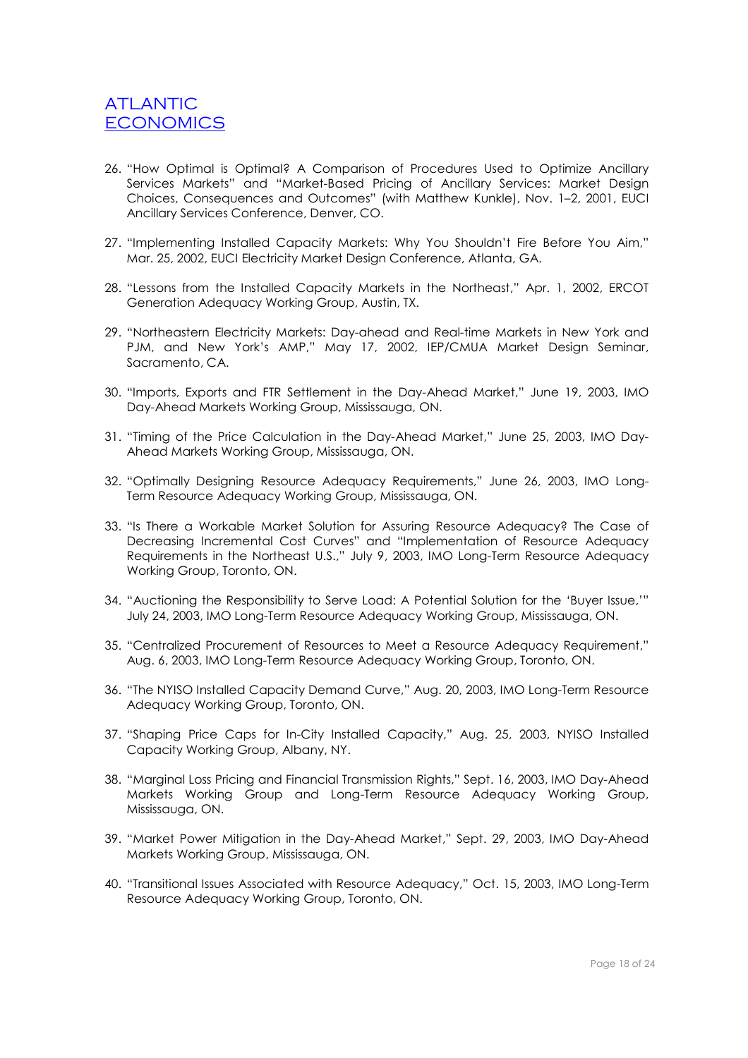- 26. "How Optimal is Optimal? A Comparison of Procedures Used to Optimize Ancillary Services Markets" and "Market-Based Pricing of Ancillary Services: Market Desian Choices, Consequences and Outcomes" (with Matthew Kunkle), Nov. 1–2, 2001, EUCI Ancillary Services Conference, Denver, CO.
- 27. "Implementing Installed Capacity Markets: Why You Shouldn't Fire Before You Aim," Mar. 25, 2002, EUCI Electricity Market Design Conference, Atlanta, GA.
- 28. "Lessons from the Installed Capacity Markets in the Northeast," Apr. 1, 2002, ERCOT Generation Adequacy Working Group, Austin, TX.
- 29. "Northeastern Electricity Markets: Day-ahead and Real-time Markets in New York and PJM, and New York's AMP," May 17, 2002, IEP/CMUA Market Design Seminar, Sacramento, CA.
- 30. "Imports, Exports and FTR Settlement in the Day-Ahead Market," June 19, 2003, IMO Day-Ahead Markets Working Group, Mississauga, ON.
- 31. "Timing of the Price Calculation in the Day-Ahead Market," June 25, 2003, IMO Day-Ahead Markets Working Group, Mississauga, ON.
- 32. "Optimally Designing Resource Adequacy Requirements," June 26, 2003, IMO Long-Term Resource Adequacy Working Group, Mississauga, ON.
- 33. "Is There a Workable Market Solution for Assuring Resource Adequacy? The Case of Decreasing Incremental Cost Curves" and "Implementation of Resource Adequacy Requirements in the Northeast U.S.," July 9, 2003, IMO Long-Term Resource Adequacy Working Group, Toronto, ON.
- 34. "Auctioning the Responsibility to Serve Load: A Potential Solution for the 'Buyer Issue,'" July 24, 2003, IMO Long-Term Resource Adequacy Working Group, Mississauga, ON.
- 35. "Centralized Procurement of Resources to Meet a Resource Adequacy Requirement," Aug. 6, 2003, IMO Long-Term Resource Adequacy Working Group, Toronto, ON.
- 36. "The NYISO Installed Capacity Demand Curve," Aug. 20, 2003, IMO Long-Term Resource Adequacy Working Group, Toronto, ON.
- 37. "Shaping Price Caps for In-City Installed Capacity," Aug. 25, 2003, NYISO Installed Capacity Working Group, Albany, NY.
- 38. "Marginal Loss Pricing and Financial Transmission Rights," Sept. 16, 2003, IMO Day-Ahead Markets Working Group and Long-Term Resource Adequacy Working Group, Mississauga, ON.
- 39. "Market Power Mitigation in the Day-Ahead Market," Sept. 29, 2003, IMO Day-Ahead Markets Working Group, Mississauga, ON.
- 40. "Transitional Issues Associated with Resource Adequacy," Oct. 15, 2003, IMO Long-Term Resource Adequacy Working Group, Toronto, ON.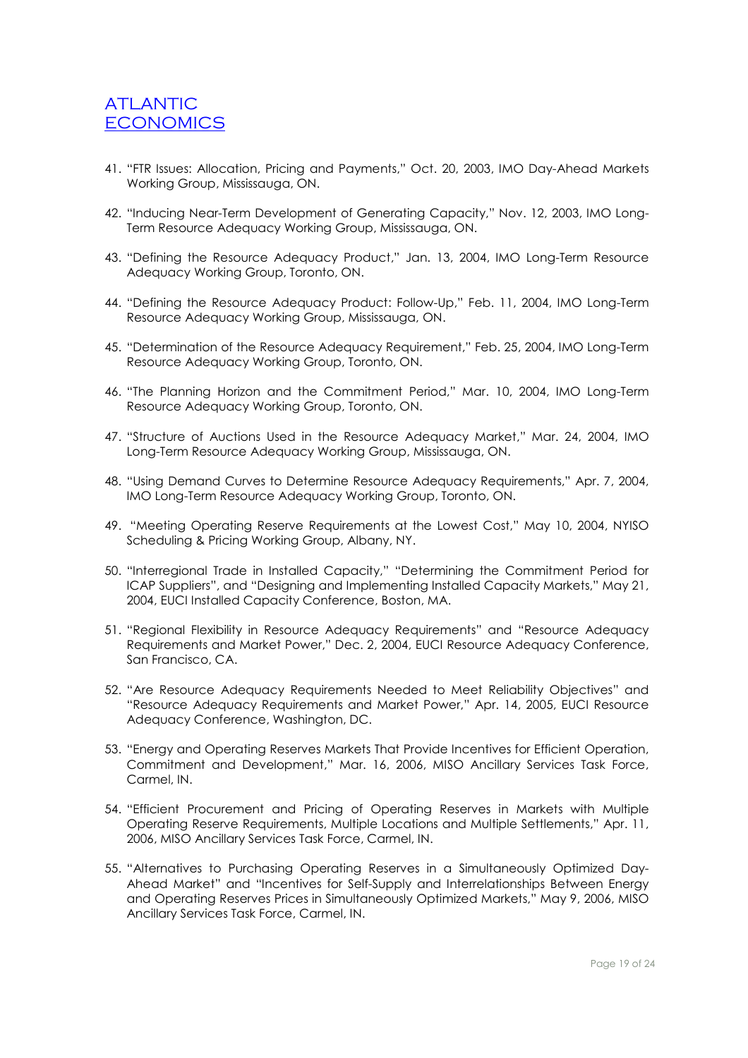- 41. "FTR Issues: Allocation, Pricing and Payments," Oct. 20, 2003, IMO Day-Ahead Markets Working Group, Mississauga, ON.
- 42. "Inducing Near-Term Development of Generating Capacity," Nov. 12, 2003, IMO Long-Term Resource Adequacy Working Group, Mississauga, ON.
- 43. "Defining the Resource Adequacy Product," Jan. 13, 2004, IMO Long-Term Resource Adequacy Working Group, Toronto, ON.
- 44. "Defining the Resource Adequacy Product: Follow-Up," Feb. 11, 2004, IMO Long-Term Resource Adequacy Working Group, Mississauga, ON.
- 45. "Determination of the Resource Adequacy Requirement," Feb. 25, 2004, IMO Long-Term Resource Adequacy Working Group, Toronto, ON.
- 46. "The Planning Horizon and the Commitment Period," Mar. 10, 2004, IMO Long-Term Resource Adequacy Working Group, Toronto, ON.
- 47. "Structure of Auctions Used in the Resource Adequacy Market," Mar. 24, 2004, IMO Long-Term Resource Adequacy Working Group, Mississauga, ON.
- 48. "Using Demand Curves to Determine Resource Adequacy Requirements," Apr. 7, 2004, IMO Long-Term Resource Adequacy Working Group, Toronto, ON.
- 49. "Meeting Operating Reserve Requirements at the Lowest Cost," May 10, 2004, NYISO Scheduling & Pricing Working Group, Albany, NY.
- 50. "Interregional Trade in Installed Capacity," "Determining the Commitment Period for ICAP Suppliers", and "Designing and Implementing Installed Capacity Markets," May 21, 2004, EUCI Installed Capacity Conference, Boston, MA.
- 51. "Regional Flexibility in Resource Adequacy Requirements" and "Resource Adequacy Requirements and Market Power," Dec. 2, 2004, EUCI Resource Adequacy Conference, San Francisco, CA.
- 52. "Are Resource Adequacy Requirements Needed to Meet Reliability Objectives" and "Resource Adequacy Requirements and Market Power," Apr. 14, 2005, EUCI Resource Adequacy Conference, Washington, DC.
- 53. "Energy and Operating Reserves Markets That Provide Incentives for Efficient Operation, Commitment and Development," Mar. 16, 2006, MISO Ancillary Services Task Force, Carmel, IN.
- 54. "Efficient Procurement and Pricing of Operating Reserves in Markets with Multiple Operating Reserve Requirements, Multiple Locations and Multiple Settlements," Apr. 11, 2006, MISO Ancillary Services Task Force, Carmel, IN.
- 55. "Alternatives to Purchasing Operating Reserves in a Simultaneously Optimized Day-Ahead Market" and "Incentives for Self-Supply and Interrelationships Between Energy and Operating Reserves Prices in Simultaneously Optimized Markets," May 9, 2006, MISO Ancillary Services Task Force, Carmel, IN.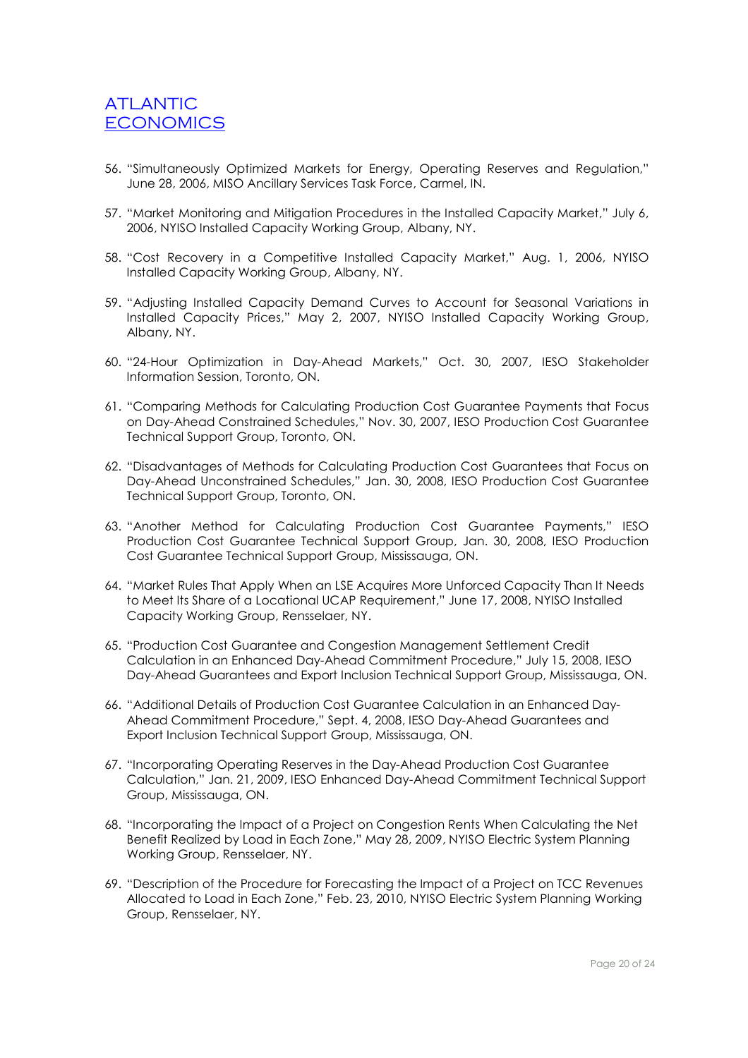- 56. "Simultaneously Optimized Markets for Energy, Operating Reserves and Regulation," June 28, 2006, MISO Ancillary Services Task Force, Carmel, IN.
- 57. "Market Monitoring and Mitigation Procedures in the Installed Capacity Market," July 6, 2006, NYISO Installed Capacity Working Group, Albany, NY.
- 58. "Cost Recovery in a Competitive Installed Capacity Market," Aug. 1, 2006, NYISO Installed Capacity Working Group, Albany, NY.
- 59. "Adjusting Installed Capacity Demand Curves to Account for Seasonal Variations in Installed Capacity Prices," May 2, 2007, NYISO Installed Capacity Working Group, Albany, NY.
- 60. "24-Hour Optimization in Day-Ahead Markets," Oct. 30, 2007, IESO Stakeholder Information Session, Toronto, ON.
- 61. "Comparing Methods for Calculating Production Cost Guarantee Payments that Focus on Day-Ahead Constrained Schedules," Nov. 30, 2007, IESO Production Cost Guarantee Technical Support Group, Toronto, ON.
- 62. "Disadvantages of Methods for Calculating Production Cost Guarantees that Focus on Day-Ahead Unconstrained Schedules," Jan. 30, 2008, IESO Production Cost Guarantee Technical Support Group, Toronto, ON.
- 63. "Another Method for Calculating Production Cost Guarantee Payments," IESO Production Cost Guarantee Technical Support Group, Jan. 30, 2008, IESO Production Cost Guarantee Technical Support Group, Mississauga, ON.
- 64. "Market Rules That Apply When an LSE Acquires More Unforced Capacity Than It Needs to Meet Its Share of a Locational UCAP Requirement," June 17, 2008, NYISO Installed Capacity Working Group, Rensselaer, NY.
- 65. "Production Cost Guarantee and Congestion Management Settlement Credit Calculation in an Enhanced Day-Ahead Commitment Procedure," July 15, 2008, IESO Day-Ahead Guarantees and Export Inclusion Technical Support Group, Mississauga, ON.
- 66. "Additional Details of Production Cost Guarantee Calculation in an Enhanced Day-Ahead Commitment Procedure," Sept. 4, 2008, IESO Day-Ahead Guarantees and Export Inclusion Technical Support Group, Mississauga, ON.
- 67. "Incorporating Operating Reserves in the Day-Ahead Production Cost Guarantee Calculation," Jan. 21, 2009, IESO Enhanced Day-Ahead Commitment Technical Support Group, Mississauga, ON.
- 68. "Incorporating the Impact of a Project on Congestion Rents When Calculating the Net Benefit Realized by Load in Each Zone," May 28, 2009, NYISO Electric System Planning Working Group, Rensselaer, NY.
- 69. "Description of the Procedure for Forecasting the Impact of a Project on TCC Revenues Allocated to Load in Each Zone," Feb. 23, 2010, NYISO Electric System Planning Working Group, Rensselaer, NY.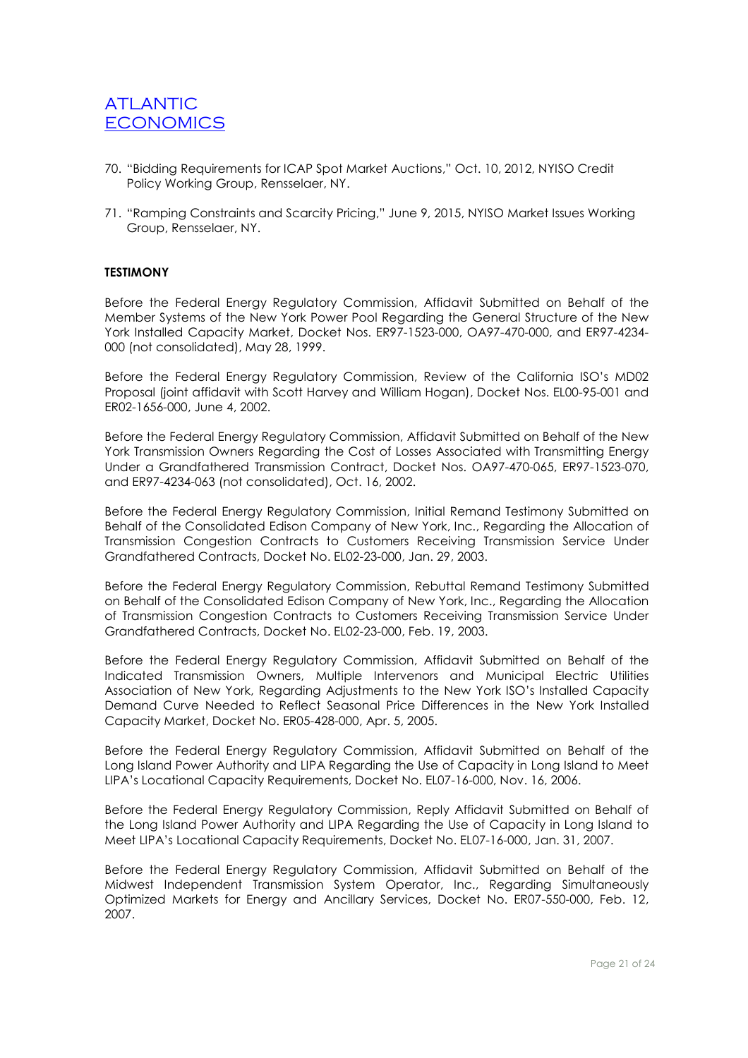- 70. "Bidding Requirements for ICAP Spot Market Auctions," Oct. 10, 2012, NYISO Credit Policy Working Group, Rensselaer, NY.
- 71. "Ramping Constraints and Scarcity Pricing," June 9, 2015, NYISO Market Issues Working Group, Rensselaer, NY.

### **TESTIMONY**

Before the Federal Energy Regulatory Commission, Affidavit Submitted on Behalf of the Member Systems of the New York Power Pool Regarding the General Structure of the New York Installed Capacity Market, Docket Nos. ER97-1523-000, OA97-470-000, and ER97-4234- 000 (not consolidated), May 28, 1999.

Before the Federal Energy Regulatory Commission, Review of the California ISO's MD02 Proposal (joint affidavit with Scott Harvey and William Hogan), Docket Nos. EL00-95-001 and ER02-1656-000, June 4, 2002.

Before the Federal Energy Regulatory Commission, Affidavit Submitted on Behalf of the New York Transmission Owners Regarding the Cost of Losses Associated with Transmitting Energy Under a Grandfathered Transmission Contract, Docket Nos. OA97-470-065, ER97-1523-070, and ER97-4234-063 (not consolidated), Oct. 16, 2002.

Before the Federal Energy Regulatory Commission, Initial Remand Testimony Submitted on Behalf of the Consolidated Edison Company of New York, Inc., Regarding the Allocation of Transmission Congestion Contracts to Customers Receiving Transmission Service Under Grandfathered Contracts, Docket No. EL02-23-000, Jan. 29, 2003.

Before the Federal Energy Regulatory Commission, Rebuttal Remand Testimony Submitted on Behalf of the Consolidated Edison Company of New York, Inc., Regarding the Allocation of Transmission Congestion Contracts to Customers Receiving Transmission Service Under Grandfathered Contracts, Docket No. EL02-23-000, Feb. 19, 2003.

Before the Federal Energy Regulatory Commission, Affidavit Submitted on Behalf of the Indicated Transmission Owners, Multiple Intervenors and Municipal Electric Utilities Association of New York, Regarding Adjustments to the New York ISO's Installed Capacity Demand Curve Needed to Reflect Seasonal Price Differences in the New York Installed Capacity Market, Docket No. ER05-428-000, Apr. 5, 2005.

Before the Federal Energy Regulatory Commission, Affidavit Submitted on Behalf of the Long Island Power Authority and LIPA Regarding the Use of Capacity in Long Island to Meet LIPA's Locational Capacity Requirements, Docket No. EL07-16-000, Nov. 16, 2006.

Before the Federal Energy Regulatory Commission, Reply Affidavit Submitted on Behalf of the Long Island Power Authority and LIPA Regarding the Use of Capacity in Long Island to Meet LIPA's Locational Capacity Requirements, Docket No. EL07-16-000, Jan. 31, 2007.

Before the Federal Energy Regulatory Commission, Affidavit Submitted on Behalf of the Midwest Independent Transmission System Operator, Inc., Regarding Simultaneously Optimized Markets for Energy and Ancillary Services, Docket No. ER07-550-000, Feb. 12, 2007.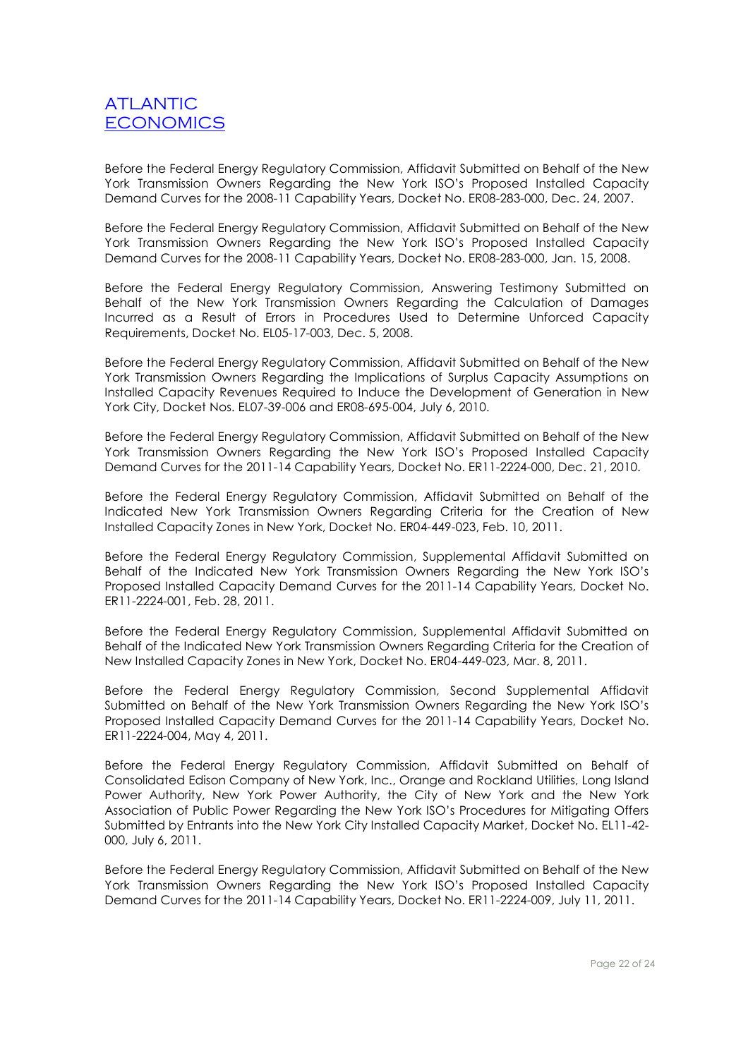Before the Federal Energy Regulatory Commission, Affidavit Submitted on Behalf of the New York Transmission Owners Regarding the New York ISO's Proposed Installed Capacity Demand Curves for the 2008-11 Capability Years, Docket No. ER08-283-000, Dec. 24, 2007.

Before the Federal Energy Regulatory Commission, Affidavit Submitted on Behalf of the New York Transmission Owners Regarding the New York ISO's Proposed Installed Capacity Demand Curves for the 2008-11 Capability Years, Docket No. ER08-283-000, Jan. 15, 2008.

Before the Federal Energy Regulatory Commission, Answering Testimony Submitted on Behalf of the New York Transmission Owners Regarding the Calculation of Damages Incurred as a Result of Errors in Procedures Used to Determine Unforced Capacity Requirements, Docket No. EL05-17-003, Dec. 5, 2008.

Before the Federal Energy Regulatory Commission, Affidavit Submitted on Behalf of the New York Transmission Owners Regarding the Implications of Surplus Capacity Assumptions on Installed Capacity Revenues Required to Induce the Development of Generation in New York City, Docket Nos. EL07-39-006 and ER08-695-004, July 6, 2010.

Before the Federal Energy Regulatory Commission, Affidavit Submitted on Behalf of the New York Transmission Owners Regarding the New York ISO's Proposed Installed Capacity Demand Curves for the 2011-14 Capability Years, Docket No. ER11-2224-000, Dec. 21, 2010.

Before the Federal Energy Regulatory Commission, Affidavit Submitted on Behalf of the Indicated New York Transmission Owners Regarding Criteria for the Creation of New Installed Capacity Zones in New York, Docket No. ER04-449-023, Feb. 10, 2011.

Before the Federal Energy Regulatory Commission, Supplemental Affidavit Submitted on Behalf of the Indicated New York Transmission Owners Regarding the New York ISO's Proposed Installed Capacity Demand Curves for the 2011-14 Capability Years, Docket No. ER11-2224-001, Feb. 28, 2011.

Before the Federal Energy Regulatory Commission, Supplemental Affidavit Submitted on Behalf of the Indicated New York Transmission Owners Regarding Criteria for the Creation of New Installed Capacity Zones in New York, Docket No. ER04-449-023, Mar. 8, 2011.

Before the Federal Energy Regulatory Commission, Second Supplemental Affidavit Submitted on Behalf of the New York Transmission Owners Regarding the New York ISO's Proposed Installed Capacity Demand Curves for the 2011-14 Capability Years, Docket No. ER11-2224-004, May 4, 2011.

Before the Federal Energy Regulatory Commission, Affidavit Submitted on Behalf of Consolidated Edison Company of New York, Inc., Orange and Rockland Utilities, Long Island Power Authority, New York Power Authority, the City of New York and the New York Association of Public Power Regarding the New York ISO's Procedures for Mitigating Offers Submitted by Entrants into the New York City Installed Capacity Market, Docket No. EL11-42- 000, July 6, 2011.

Before the Federal Energy Regulatory Commission, Affidavit Submitted on Behalf of the New York Transmission Owners Regarding the New York ISO's Proposed Installed Capacity Demand Curves for the 2011-14 Capability Years, Docket No. ER11-2224-009, July 11, 2011.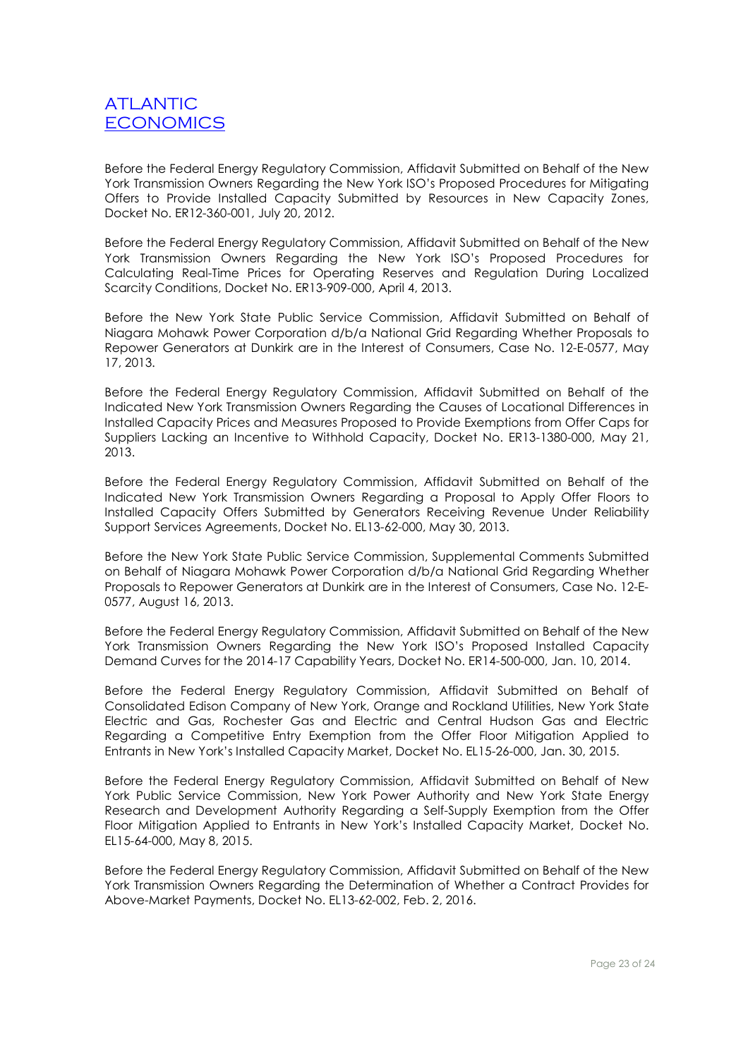Before the Federal Energy Regulatory Commission, Affidavit Submitted on Behalf of the New York Transmission Owners Regarding the New York ISO's Proposed Procedures for Mitigating Offers to Provide Installed Capacity Submitted by Resources in New Capacity Zones, Docket No. ER12-360-001, July 20, 2012.

Before the Federal Energy Regulatory Commission, Affidavit Submitted on Behalf of the New York Transmission Owners Regarding the New York ISO's Proposed Procedures for Calculating Real-Time Prices for Operating Reserves and Regulation During Localized Scarcity Conditions, Docket No. ER13-909-000, April 4, 2013.

Before the New York State Public Service Commission, Affidavit Submitted on Behalf of Niagara Mohawk Power Corporation d/b/a National Grid Regarding Whether Proposals to Repower Generators at Dunkirk are in the Interest of Consumers, Case No. 12-E-0577, May 17, 2013.

Before the Federal Energy Regulatory Commission, Affidavit Submitted on Behalf of the Indicated New York Transmission Owners Regarding the Causes of Locational Differences in Installed Capacity Prices and Measures Proposed to Provide Exemptions from Offer Caps for Suppliers Lacking an Incentive to Withhold Capacity, Docket No. ER13-1380-000, May 21, 2013.

Before the Federal Energy Regulatory Commission, Affidavit Submitted on Behalf of the Indicated New York Transmission Owners Regarding a Proposal to Apply Offer Floors to Installed Capacity Offers Submitted by Generators Receiving Revenue Under Reliability Support Services Agreements, Docket No. EL13-62-000, May 30, 2013.

Before the New York State Public Service Commission, Supplemental Comments Submitted on Behalf of Niagara Mohawk Power Corporation d/b/a National Grid Regarding Whether Proposals to Repower Generators at Dunkirk are in the Interest of Consumers, Case No. 12-E-0577, August 16, 2013.

Before the Federal Energy Regulatory Commission, Affidavit Submitted on Behalf of the New York Transmission Owners Regarding the New York ISO's Proposed Installed Capacity Demand Curves for the 2014-17 Capability Years, Docket No. ER14-500-000, Jan. 10, 2014.

Before the Federal Energy Regulatory Commission, Affidavit Submitted on Behalf of Consolidated Edison Company of New York, Orange and Rockland Utilities, New York State Electric and Gas, Rochester Gas and Electric and Central Hudson Gas and Electric Regarding a Competitive Entry Exemption from the Offer Floor Mitigation Applied to Entrants in New York's Installed Capacity Market, Docket No. EL15-26-000, Jan. 30, 2015.

Before the Federal Energy Regulatory Commission, Affidavit Submitted on Behalf of New York Public Service Commission, New York Power Authority and New York State Energy Research and Development Authority Regarding a Self-Supply Exemption from the Offer Floor Mitigation Applied to Entrants in New York's Installed Capacity Market, Docket No. EL15-64-000, May 8, 2015.

Before the Federal Energy Regulatory Commission, Affidavit Submitted on Behalf of the New York Transmission Owners Regarding the Determination of Whether a Contract Provides for Above-Market Payments, Docket No. EL13-62-002, Feb. 2, 2016.